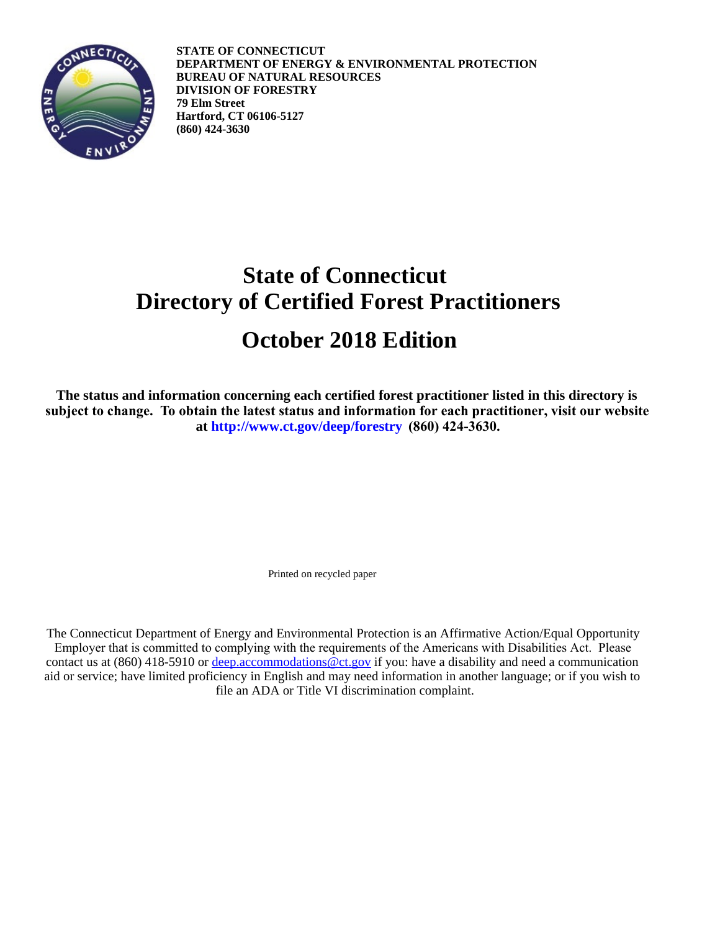

**STATE OF CONNECTICUT DEPARTMENT OF ENERGY & ENVIRONMENTAL PROTECTION BUREAU OF NATURAL RESOURCES DIVISION OF FORESTRY 79 Elm Street Hartford, CT 06106-5127 (860) 424-3630**

# **State of Connecticut Directory of Certified Forest Practitioners October 2018 Edition**

**The status and information concerning each certified forest practitioner listed in this directory is subject to change. To obtain the latest status and information for each practitioner, visit our website at [http://www.ct.gov/deep/forestry](http://www.ct.gov/deep/cwp/view.asp?a=2697&q=322792&deepNav_GID=1631%20) (860) 424-3630.**

Printed on recycled paper

The Connecticut Department of Energy and Environmental Protection is an Affirmative Action/Equal Opportunity Employer that is committed to complying with the requirements of the Americans with Disabilities Act. Please contact us at  $(860)$  418-5910 or <u>deep.accommodations@ct.gov</u> if you: have a disability and need a communication aid or service; have limited proficiency in English and may need information in another language; or if you wish to file an ADA or Title VI discrimination complaint.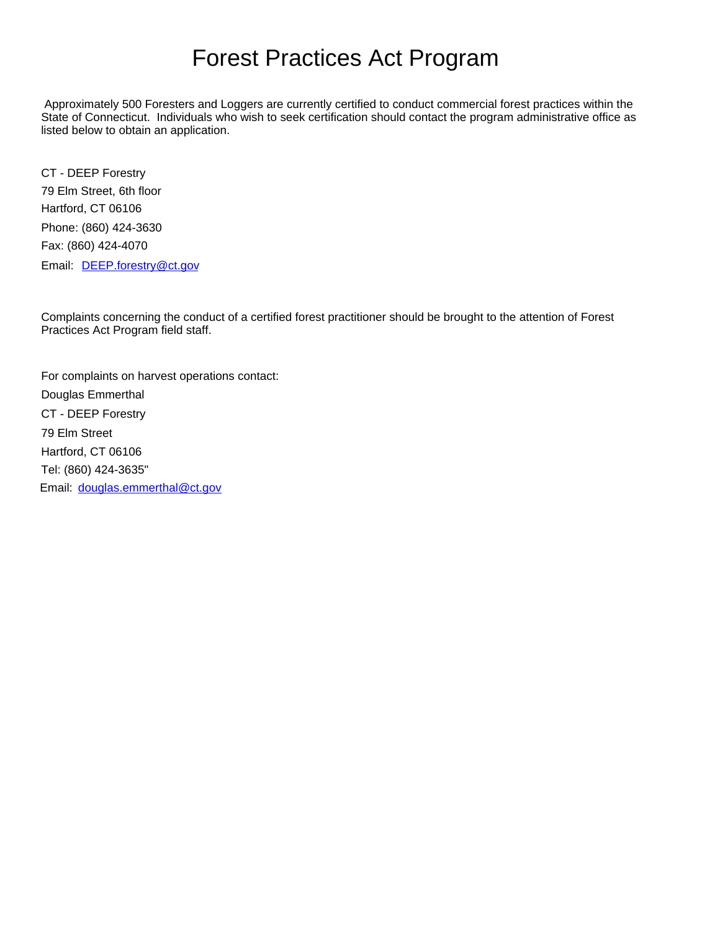# Forest Practices Act Program

 Approximately 500 Foresters and Loggers are currently certified to conduct commercial forest practices within the State of Connecticut. Individuals who wish to seek certification should contact the program administrative office as listed below to obtain an application.

CT - DEEP Forestry 79 Elm Street, 6th floor Hartford, CT 06106 Phone: (860) 424-3630 Fax: (860) 424-4070 Email: [DEEP.forestry@ct.gov](mailto:DEEP.forestry@ct.gov)

Complaints concerning the conduct of a certified forest practitioner should be brought to the attention of Forest Practices Act Program field staff.

For complaints on harvest operations contact: Douglas Emmerthal CT - DEEP Forestry 79 Elm Street Hartford, CT 06106 Tel: (860) 424-3635" Email: douglas.emmerthal@ct.gov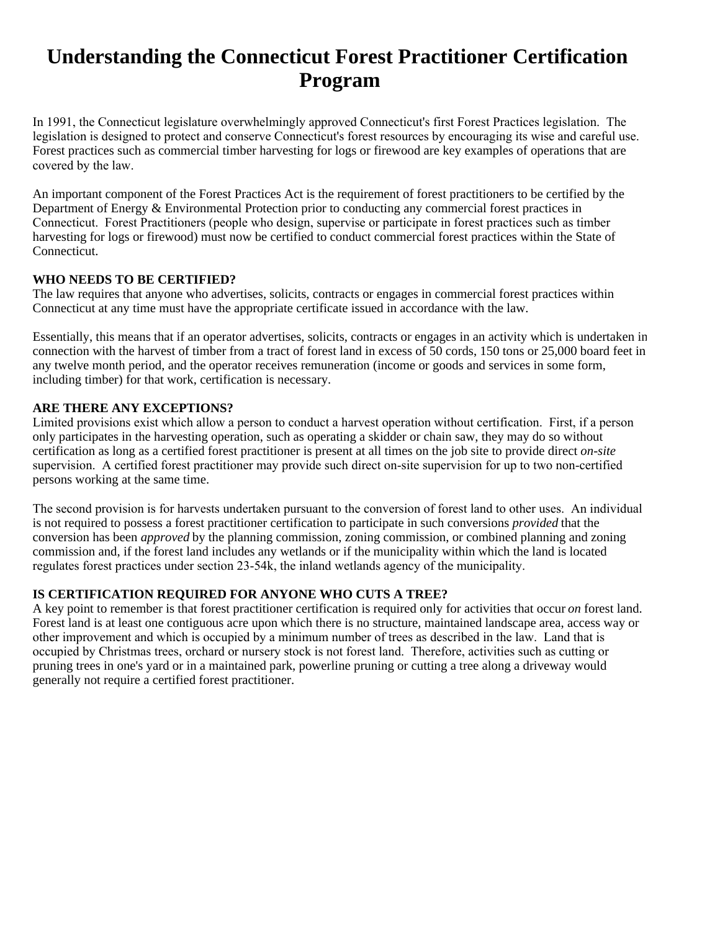# **Understanding the Connecticut Forest Practitioner Certification Program**

In 1991, the Connecticut legislature overwhelmingly approved Connecticut's first Forest Practices legislation. The legislation is designed to protect and conserve Connecticut's forest resources by encouraging its wise and careful use. Forest practices such as commercial timber harvesting for logs or firewood are key examples of operations that are covered by the law.

An important component of the Forest Practices Act is the requirement of forest practitioners to be certified by the Department of Energy & Environmental Protection prior to conducting any commercial forest practices in Connecticut. Forest Practitioners (people who design, supervise or participate in forest practices such as timber harvesting for logs or firewood) must now be certified to conduct commercial forest practices within the State of Connecticut.

### **WHO NEEDS TO BE CERTIFIED?**

The law requires that anyone who advertises, solicits, contracts or engages in commercial forest practices within Connecticut at any time must have the appropriate certificate issued in accordance with the law.

Essentially, this means that if an operator advertises, solicits, contracts or engages in an activity which is undertaken in connection with the harvest of timber from a tract of forest land in excess of 50 cords, 150 tons or 25,000 board feet in any twelve month period, and the operator receives remuneration (income or goods and services in some form, including timber) for that work, certification is necessary.

## **ARE THERE ANY EXCEPTIONS?**

Limited provisions exist which allow a person to conduct a harvest operation without certification. First, if a person only participates in the harvesting operation, such as operating a skidder or chain saw, they may do so without certification as long as a certified forest practitioner is present at all times on the job site to provide direct *on-site*  supervision. A certified forest practitioner may provide such direct on-site supervision for up to two non-certified persons working at the same time.

The second provision is for harvests undertaken pursuant to the conversion of forest land to other uses. An individual is not required to possess a forest practitioner certification to participate in such conversions *provided* that the conversion has been *approved* by the planning commission, zoning commission, or combined planning and zoning commission and, if the forest land includes any wetlands or if the municipality within which the land is located regulates forest practices under section 23-54k, the inland wetlands agency of the municipality.

## **IS CERTIFICATION REQUIRED FOR ANYONE WHO CUTS A TREE?**

A key point to remember is that forest practitioner certification is required only for activities that occur *on* forest land. Forest land is at least one contiguous acre upon which there is no structure, maintained landscape area, access way or other improvement and which is occupied by a minimum number of trees as described in the law. Land that is occupied by Christmas trees, orchard or nursery stock is not forest land. Therefore, activities such as cutting or pruning trees in one's yard or in a maintained park, powerline pruning or cutting a tree along a driveway would generally not require a certified forest practitioner.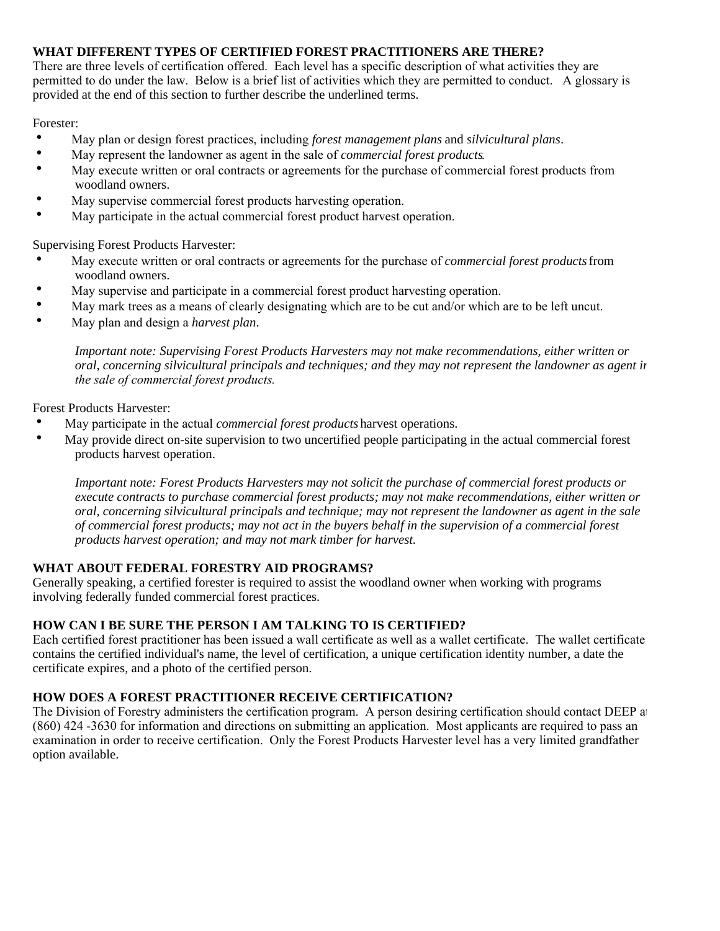## **WHAT DIFFERENT TYPES OF CERTIFIED FOREST PRACTITIONERS ARE THERE?**

There are three levels of certification offered. Each level has a specific description of what activities they are permitted to do under the law. Below is a brief list of activities which they are permitted to conduct. A glossary is provided at the end of this section to further describe the underlined terms.

### Forester:

- h May plan or design forest practices, including *forest management plans* and *silvicultural plans*.
- May represent the landowner as agent in the sale of *commercial forest products*.<br>• May execute written or oral contracts or agreements for the purchase of commercial
- h May execute written or oral contracts or agreements for the purchase of commercial forest products from woodland owners.
- May supervise commercial forest products harvesting operation.
- May participate in the actual commercial forest product harvest operation.

Supervising Forest Products Harvester:

- h May execute written or oral contracts or agreements for the purchase of *commercial forest products* from woodland owners.
- May supervise and participate in a commercial forest product harvesting operation.
- May mark trees as a means of clearly designating which are to be cut and/or which are to be left uncut.
- h May plan and design a *harvest plan*.

*Important note: Supervising Forest Products Harvesters may not make recommendations, either written or oral, concerning silvicultural principals and techniques; and they may not represent the landowner as agent in the sale of commercial forest products.* 

Forest Products Harvester:

- h May participate in the actual *commercial forest products* harvest operations.
- May provide direct on-site supervision to two uncertified people participating in the actual commercial forest products harvest operation.

*Important note: Forest Products Harvesters may not solicit the purchase of commercial forest products or execute contracts to purchase commercial forest products; may not make recommendations, either written or oral, concerning silvicultural principals and technique; may not represent the landowner as agent in the sale of commercial forest products; may not act in the buyers behalf in the supervision of a commercial forest products harvest operation; and may not mark timber for harvest.*

## **WHAT ABOUT FEDERAL FORESTRY AID PROGRAMS?**

Generally speaking, a certified forester is required to assist the woodland owner when working with programs involving federally funded commercial forest practices.

## **HOW CAN I BE SURE THE PERSON I AM TALKING TO IS CERTIFIED?**

Each certified forest practitioner has been issued a wall certificate as well as a wallet certificate. The wallet certificate contains the certified individual's name, the level of certification, a unique certification identity number, a date the certificate expires, and a photo of the certified person.

## **HOW DOES A FOREST PRACTITIONER RECEIVE CERTIFICATION?**

The Division of Forestry administers the certification program. A person desiring certification should contact DEEP at (860) 424 -3630 for information and directions on submitting an application. Most applicants are required to pass an examination in order to receive certification. Only the Forest Products Harvester level has a very limited grandfather option available.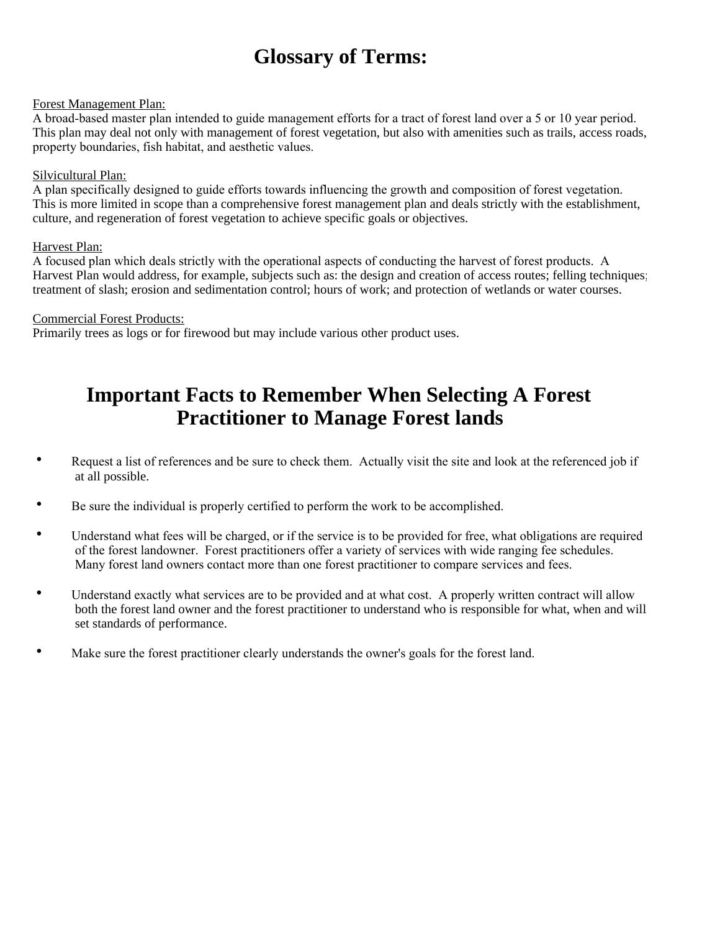# **Glossary of Terms:**

#### Forest Management Plan:

A broad-based master plan intended to guide management efforts for a tract of forest land over a 5 or 10 year period. This plan may deal not only with management of forest vegetation, but also with amenities such as trails, access roads, property boundaries, fish habitat, and aesthetic values.

### Silvicultural Plan:

A plan specifically designed to guide efforts towards influencing the growth and composition of forest vegetation. This is more limited in scope than a comprehensive forest management plan and deals strictly with the establishment, culture, and regeneration of forest vegetation to achieve specific goals or objectives.

### Harvest Plan:

A focused plan which deals strictly with the operational aspects of conducting the harvest of forest products. A Harvest Plan would address, for example, subjects such as: the design and creation of access routes; felling techniques; treatment of slash; erosion and sedimentation control; hours of work; and protection of wetlands or water courses.

### Commercial Forest Products:

Primarily trees as logs or for firewood but may include various other product uses.

# **Important Facts to Remember When Selecting A Forest Practitioner to Manage Forest lands**

- Request a list of references and be sure to check them. Actually visit the site and look at the referenced job if at all possible.
- Be sure the individual is properly certified to perform the work to be accomplished.
- Understand what fees will be charged, or if the service is to be provided for free, what obligations are required of the forest landowner. Forest practitioners offer a variety of services with wide ranging fee schedules. Many forest land owners contact more than one forest practitioner to compare services and fees.
- Understand exactly what services are to be provided and at what cost. A properly written contract will allow both the forest land owner and the forest practitioner to understand who is responsible for what, when and will set standards of performance.
- Make sure the forest practitioner clearly understands the owner's goals for the forest land.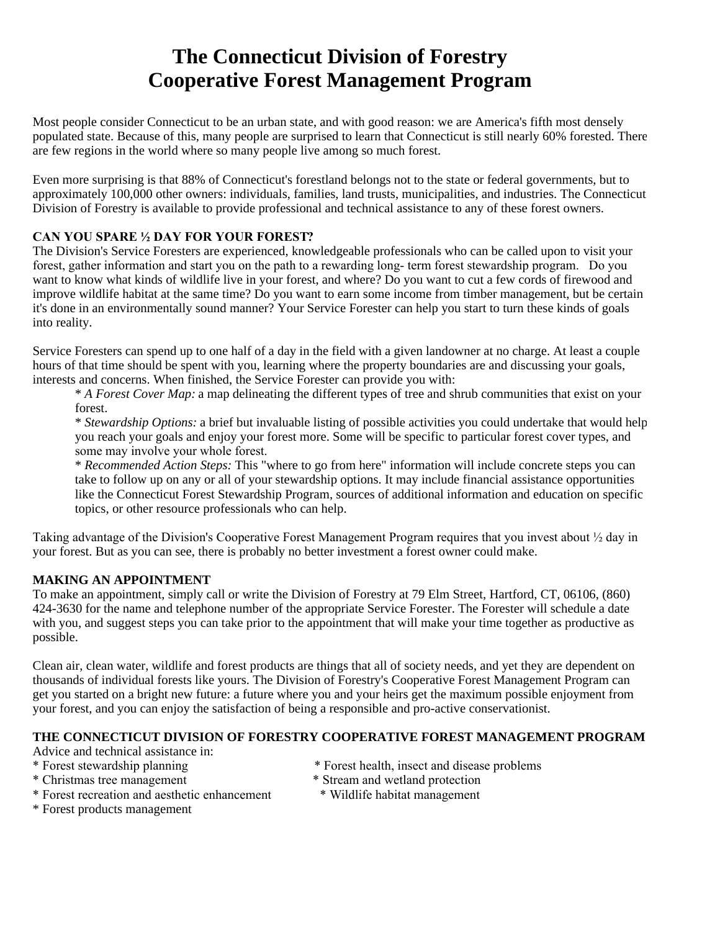# **The Connecticut Division of Forestry Cooperative Forest Management Program**

Most people consider Connecticut to be an urban state, and with good reason: we are America's fifth most densely populated state. Because of this, many people are surprised to learn that Connecticut is still nearly 60% forested. There are few regions in the world where so many people live among so much forest.

Even more surprising is that 88% of Connecticut's forestland belongs not to the state or federal governments, but to approximately 100,000 other owners: individuals, families, land trusts, municipalities, and industries. The Connecticut Division of Forestry is available to provide professional and technical assistance to any of these forest owners.

## **CAN YOU SPARE ½ DAY FOR YOUR FOREST?**

The Division's Service Foresters are experienced, knowledgeable professionals who can be called upon to visit your forest, gather information and start you on the path to a rewarding long- term forest stewardship program. Do you want to know what kinds of wildlife live in your forest, and where? Do you want to cut a few cords of firewood and improve wildlife habitat at the same time? Do you want to earn some income from timber management, but be certain it's done in an environmentally sound manner? Your Service Forester can help you start to turn these kinds of goals into reality.

Service Foresters can spend up to one half of a day in the field with a given landowner at no charge. At least a couple hours of that time should be spent with you, learning where the property boundaries are and discussing your goals, interests and concerns. When finished, the Service Forester can provide you with:

\* *A Forest Cover Map:* a map delineating the different types of tree and shrub communities that exist on your forest.

\* *Stewardship Options:* a brief but invaluable listing of possible activities you could undertake that would help you reach your goals and enjoy your forest more. Some will be specific to particular forest cover types, and some may involve your whole forest.

\* *Recommended Action Steps:* This "where to go from here" information will include concrete steps you can take to follow up on any or all of your stewardship options. It may include financial assistance opportunities like the Connecticut Forest Stewardship Program, sources of additional information and education on specific topics, or other resource professionals who can help.

Taking advantage of the Division's Cooperative Forest Management Program requires that you invest about ½ day in your forest. But as you can see, there is probably no better investment a forest owner could make.

## **MAKING AN APPOINTMENT**

To make an appointment, simply call or write the Division of Forestry at 79 Elm Street, Hartford, CT, 06106, (860) 424-3630 for the name and telephone number of the appropriate Service Forester. The Forester will schedule a date with you, and suggest steps you can take prior to the appointment that will make your time together as productive as possible.

Clean air, clean water, wildlife and forest products are things that all of society needs, and yet they are dependent on thousands of individual forests like yours. The Division of Forestry's Cooperative Forest Management Program can get you started on a bright new future: a future where you and your heirs get the maximum possible enjoyment from your forest, and you can enjoy the satisfaction of being a responsible and pro-active conservationist.

# **THE CONNECTICUT DIVISION OF FORESTRY COOPERATIVE FOREST MANAGEMENT PROGRAM**

Advice and technical assistance in:

- 
- 
- \* Forest recreation and aesthetic enhancement
- \* Forest stewardship planning \* \* Forest health, insect and disease problems<br>\* Christmas tree management \* Stream and wetland protection
	- \* Stream and wetland protection<br>\* Wildlife habitat management
	-

\* Forest products management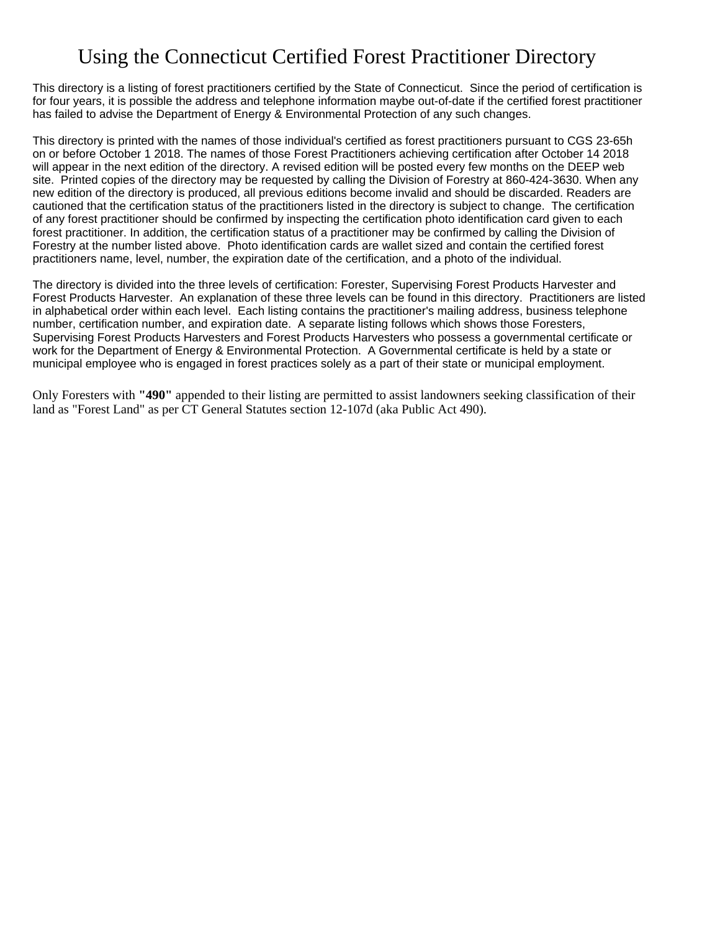# Using the Connecticut Certified Forest Practitioner Directory

This directory is a listing of forest practitioners certified by the State of Connecticut. Since the period of certification is for four years, it is possible the address and telephone information maybe out-of-date if the certified forest practitioner has failed to advise the Department of Energy & Environmental Protection of any such changes.

This directory is printed with the names of those individual's certified as forest practitioners pursuant to CGS 23-65h on or before October 1 2018. The names of those Forest Practitioners achieving certification after October 14 2018 will appear in the next edition of the directory. A revised edition will be posted every few months on the DEEP web site. Printed copies of the directory may be requested by calling the Division of Forestry at 860-424-3630. When any new edition of the directory is produced, all previous editions become invalid and should be discarded. Readers are cautioned that the certification status of the practitioners listed in the directory is subject to change. The certification of any forest practitioner should be confirmed by inspecting the certification photo identification card given to each forest practitioner. In addition, the certification status of a practitioner may be confirmed by calling the Division of Forestry at the number listed above. Photo identification cards are wallet sized and contain the certified forest practitioners name, level, number, the expiration date of the certification, and a photo of the individual.

The directory is divided into the three levels of certification: Forester, Supervising Forest Products Harvester and Forest Products Harvester. An explanation of these three levels can be found in this directory. Practitioners are listed in alphabetical order within each level. Each listing contains the practitioner's mailing address, business telephone number, certification number, and expiration date. A separate listing follows which shows those Foresters, Supervising Forest Products Harvesters and Forest Products Harvesters who possess a governmental certificate or work for the Department of Energy & Environmental Protection. A Governmental certificate is held by a state or municipal employee who is engaged in forest practices solely as a part of their state or municipal employment.

Only Foresters with **"490"** appended to their listing are permitted to assist landowners seeking classification of their land as "Forest Land" as per CT General Statutes section 12-107d (aka Public Act 490).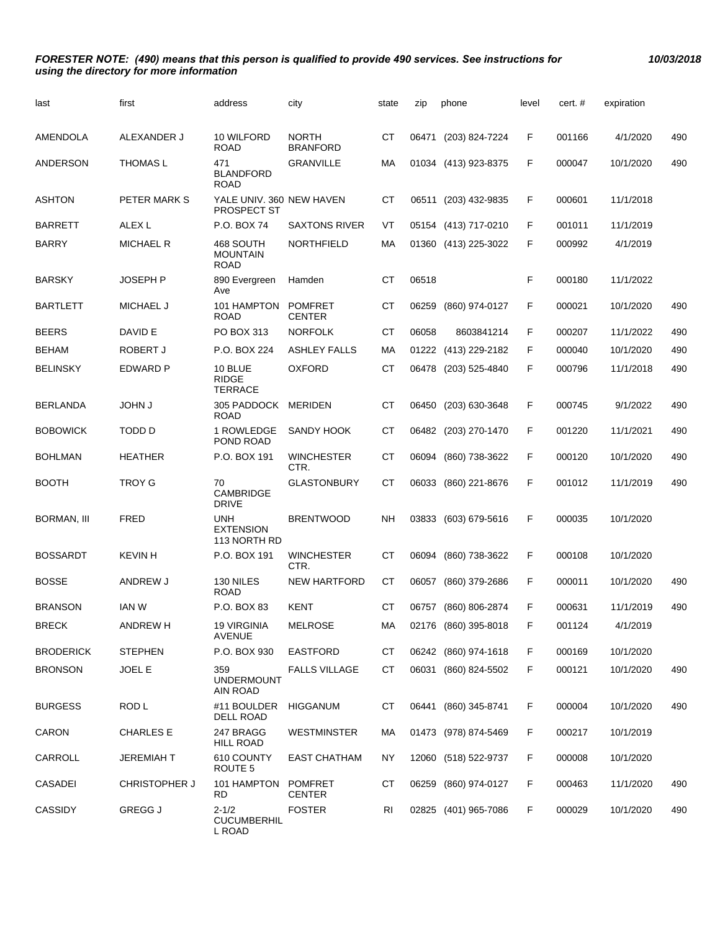| last             | first                | address                                        | city                            | state          | zip   | phone                | level | cert. # | expiration |     |
|------------------|----------------------|------------------------------------------------|---------------------------------|----------------|-------|----------------------|-------|---------|------------|-----|
| AMENDOLA         | ALEXANDER J          | 10 WILFORD<br><b>ROAD</b>                      | <b>NORTH</b><br><b>BRANFORD</b> | <b>CT</b>      | 06471 | (203) 824-7224       | F     | 001166  | 4/1/2020   | 490 |
| ANDERSON         | <b>THOMAS L</b>      | 471<br><b>BLANDFORD</b><br><b>ROAD</b>         | <b>GRANVILLE</b>                | МA             |       | 01034 (413) 923-8375 | F     | 000047  | 10/1/2020  | 490 |
| <b>ASHTON</b>    | PETER MARK S         | YALE UNIV. 360 NEW HAVEN<br>PROSPECT ST        |                                 | <b>CT</b>      | 06511 | (203) 432-9835       | F     | 000601  | 11/1/2018  |     |
| <b>BARRETT</b>   | <b>ALEXL</b>         | P.O. BOX 74                                    | <b>SAXTONS RIVER</b>            | VT             |       | 05154 (413) 717-0210 | F     | 001011  | 11/1/2019  |     |
| <b>BARRY</b>     | <b>MICHAEL R</b>     | 468 SOUTH<br><b>MOUNTAIN</b><br><b>ROAD</b>    | <b>NORTHFIELD</b>               | МA             |       | 01360 (413) 225-3022 | F     | 000992  | 4/1/2019   |     |
| <b>BARSKY</b>    | <b>JOSEPH P</b>      | 890 Evergreen<br>Ave                           | Hamden                          | <b>CT</b>      | 06518 |                      | F     | 000180  | 11/1/2022  |     |
| <b>BARTLETT</b>  | <b>MICHAEL J</b>     | 101 HAMPTON<br><b>ROAD</b>                     | <b>POMFRET</b><br><b>CENTER</b> | <b>CT</b>      | 06259 | (860) 974-0127       | F     | 000021  | 10/1/2020  | 490 |
| <b>BEERS</b>     | DAVID E              | PO BOX 313                                     | <b>NORFOLK</b>                  | <b>CT</b>      | 06058 | 8603841214           | F     | 000207  | 11/1/2022  | 490 |
| <b>BEHAM</b>     | ROBERT J             | P.O. BOX 224                                   | <b>ASHLEY FALLS</b>             | МA             | 01222 | (413) 229-2182       | F     | 000040  | 10/1/2020  | 490 |
| <b>BELINSKY</b>  | <b>EDWARD P</b>      | 10 BLUE<br><b>RIDGE</b><br><b>TERRACE</b>      | <b>OXFORD</b>                   | <b>CT</b>      | 06478 | (203) 525-4840       | F     | 000796  | 11/1/2018  | 490 |
| <b>BERLANDA</b>  | <b>JOHN J</b>        | 305 PADDOCK MERIDEN<br><b>ROAD</b>             |                                 | <b>CT</b>      | 06450 | (203) 630-3648       | F     | 000745  | 9/1/2022   | 490 |
| <b>BOBOWICK</b>  | TODD D               | 1 ROWLEDGE<br>POND ROAD                        | <b>SANDY HOOK</b>               | <b>CT</b>      | 06482 | (203) 270-1470       | F     | 001220  | 11/1/2021  | 490 |
| <b>BOHLMAN</b>   | <b>HEATHER</b>       | P.O. BOX 191                                   | <b>WINCHESTER</b><br>CTR.       | <b>CT</b>      | 06094 | (860) 738-3622       | F     | 000120  | 10/1/2020  | 490 |
| <b>BOOTH</b>     | <b>TROY G</b>        | 70<br><b>CAMBRIDGE</b><br><b>DRIVE</b>         | <b>GLASTONBURY</b>              | <b>CT</b>      | 06033 | (860) 221-8676       | F     | 001012  | 11/1/2019  | 490 |
| BORMAN, III      | FRED                 | <b>UNH</b><br><b>EXTENSION</b><br>113 NORTH RD | <b>BRENTWOOD</b>                | <b>NH</b>      | 03833 | (603) 679-5616       | F     | 000035  | 10/1/2020  |     |
| <b>BOSSARDT</b>  | <b>KEVIN H</b>       | P.O. BOX 191                                   | <b>WINCHESTER</b><br>CTR.       | <b>CT</b>      | 06094 | (860) 738-3622       | F     | 000108  | 10/1/2020  |     |
| <b>BOSSE</b>     | ANDREW J             | 130 NILES<br><b>ROAD</b>                       | <b>NEW HARTFORD</b>             | <b>CT</b>      | 06057 | (860) 379-2686       | F     | 000011  | 10/1/2020  | 490 |
| <b>BRANSON</b>   | IAN W                | P.O. BOX 83                                    | <b>KENT</b>                     | <b>CT</b>      | 06757 | (860) 806-2874       | F     | 000631  | 11/1/2019  | 490 |
| <b>BRECK</b>     | <b>ANDREW H</b>      | 19 VIRGINIA<br><b>AVENUE</b>                   | <b>MELROSE</b>                  | MA             |       | 02176 (860) 395-8018 | F     | 001124  | 4/1/2019   |     |
| <b>BRODERICK</b> | <b>STEPHEN</b>       | P.O. BOX 930                                   | <b>EASTFORD</b>                 | <b>CT</b>      |       | 06242 (860) 974-1618 | F     | 000169  | 10/1/2020  |     |
| <b>BRONSON</b>   | JOEL E               | 359<br><b>UNDERMOUNT</b><br>AIN ROAD           | <b>FALLS VILLAGE</b>            | СT             |       | 06031 (860) 824-5502 | F     | 000121  | 10/1/2020  | 490 |
| <b>BURGESS</b>   | ROD <sub>L</sub>     | #11 BOULDER<br>DELL ROAD                       | <b>HIGGANUM</b>                 | СT             |       | 06441 (860) 345-8741 | F     | 000004  | 10/1/2020  | 490 |
| CARON            | <b>CHARLES E</b>     | 247 BRAGG<br>HILL ROAD                         | <b>WESTMINSTER</b>              | MA             |       | 01473 (978) 874-5469 | F     | 000217  | 10/1/2019  |     |
| CARROLL          | <b>JEREMIAHT</b>     | 610 COUNTY<br>ROUTE <sub>5</sub>               | <b>EAST CHATHAM</b>             | <b>NY</b>      |       | 12060 (518) 522-9737 | F     | 000008  | 10/1/2020  |     |
| CASADEI          | <b>CHRISTOPHER J</b> | 101 HAMPTON<br>RD.                             | <b>POMFRET</b><br><b>CENTER</b> | CT             | 06259 | (860) 974-0127       | F     | 000463  | 11/1/2020  | 490 |
| CASSIDY          | <b>GREGG J</b>       | $2 - 1/2$<br><b>CUCUMBERHIL</b><br>L ROAD      | <b>FOSTER</b>                   | R <sub>1</sub> |       | 02825 (401) 965-7086 | F     | 000029  | 10/1/2020  | 490 |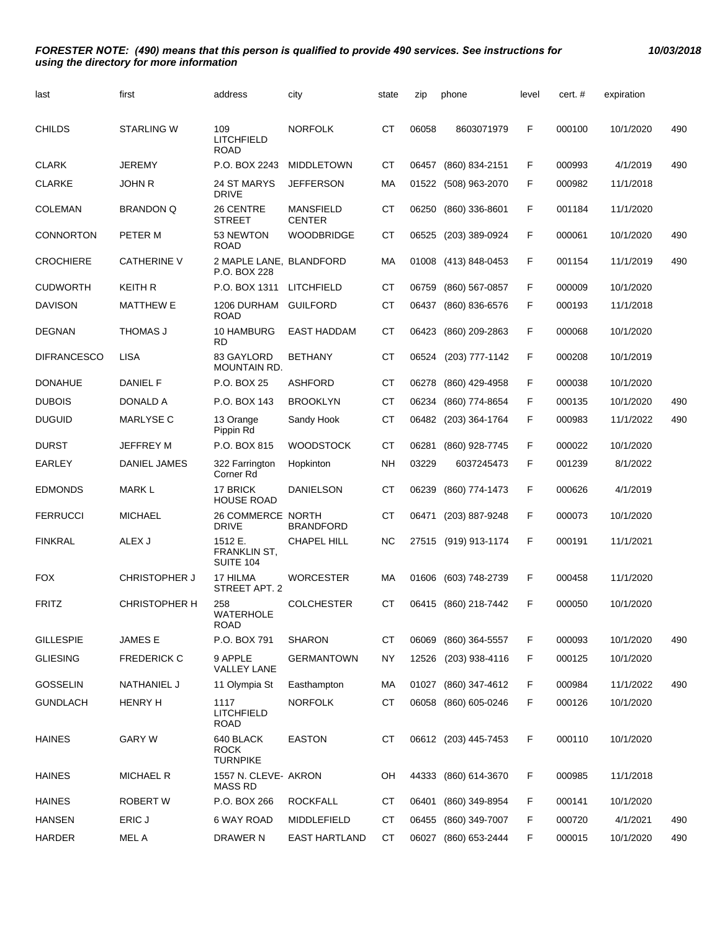| last               | first                | address                                     | city                              | state     | zip   | phone                | level | cert.# | expiration |     |
|--------------------|----------------------|---------------------------------------------|-----------------------------------|-----------|-------|----------------------|-------|--------|------------|-----|
| <b>CHILDS</b>      | <b>STARLING W</b>    | 109<br>LITCHFIELD<br><b>ROAD</b>            | <b>NORFOLK</b>                    | <b>CT</b> | 06058 | 8603071979           | F     | 000100 | 10/1/2020  | 490 |
| <b>CLARK</b>       | <b>JEREMY</b>        | P.O. BOX 2243                               | <b>MIDDLETOWN</b>                 | СT        | 06457 | (860) 834-2151       | F     | 000993 | 4/1/2019   | 490 |
| <b>CLARKE</b>      | <b>JOHN R</b>        | 24 ST MARYS<br><b>DRIVE</b>                 | <b>JEFFERSON</b>                  | MA        | 01522 | (508) 963-2070       | F     | 000982 | 11/1/2018  |     |
| <b>COLEMAN</b>     | <b>BRANDON Q</b>     | 26 CENTRE<br><b>STREET</b>                  | <b>MANSFIELD</b><br><b>CENTER</b> | <b>CT</b> | 06250 | (860) 336-8601       | F     | 001184 | 11/1/2020  |     |
| <b>CONNORTON</b>   | PETER M              | 53 NEWTON<br><b>ROAD</b>                    | <b>WOODBRIDGE</b>                 | СT        | 06525 | (203) 389-0924       | F     | 000061 | 10/1/2020  | 490 |
| <b>CROCHIERE</b>   | <b>CATHERINE V</b>   | 2 MAPLE LANE, BLANDFORD<br>P.O. BOX 228     |                                   | МA        | 01008 | (413) 848-0453       | F     | 001154 | 11/1/2019  | 490 |
| <b>CUDWORTH</b>    | <b>KEITH R</b>       | P.O. BOX 1311                               | <b>LITCHFIELD</b>                 | СT        | 06759 | $(860)$ 567-0857     | F     | 000009 | 10/1/2020  |     |
| <b>DAVISON</b>     | <b>MATTHEW E</b>     | 1206 DURHAM<br><b>ROAD</b>                  | <b>GUILFORD</b>                   | СT        | 06437 | (860) 836-6576       | F     | 000193 | 11/1/2018  |     |
| <b>DEGNAN</b>      | THOMAS J             | 10 HAMBURG<br>RD                            | <b>EAST HADDAM</b>                | <b>CT</b> | 06423 | (860) 209-2863       | F     | 000068 | 10/1/2020  |     |
| <b>DIFRANCESCO</b> | <b>LISA</b>          | 83 GAYLORD<br>MOUNTAIN RD.                  | <b>BETHANY</b>                    | <b>CT</b> | 06524 | (203) 777-1142       | F     | 000208 | 10/1/2019  |     |
| <b>DONAHUE</b>     | <b>DANIEL F</b>      | P.O. BOX 25                                 | <b>ASHFORD</b>                    | <b>CT</b> | 06278 | (860) 429-4958       | F     | 000038 | 10/1/2020  |     |
| <b>DUBOIS</b>      | DONALD A             | P.O. BOX 143                                | <b>BROOKLYN</b>                   | СT        | 06234 | (860) 774-8654       | F     | 000135 | 10/1/2020  | 490 |
| <b>DUGUID</b>      | <b>MARLYSE C</b>     | 13 Orange<br>Pippin Rd                      | Sandy Hook                        | <b>CT</b> | 06482 | (203) 364-1764       | F     | 000983 | 11/1/2022  | 490 |
| <b>DURST</b>       | <b>JEFFREY M</b>     | P.O. BOX 815                                | <b>WOODSTOCK</b>                  | СT        | 06281 | (860) 928-7745       | F     | 000022 | 10/1/2020  |     |
| <b>EARLEY</b>      | <b>DANIEL JAMES</b>  | 322 Farrington<br>Corner Rd                 | Hopkinton                         | <b>NH</b> | 03229 | 6037245473           | F     | 001239 | 8/1/2022   |     |
| <b>EDMONDS</b>     | <b>MARKL</b>         | 17 BRICK<br><b>HOUSE ROAD</b>               | <b>DANIELSON</b>                  | СT        | 06239 | (860) 774-1473       | F     | 000626 | 4/1/2019   |     |
| <b>FERRUCCI</b>    | <b>MICHAEL</b>       | <b>26 COMMERCE NORTH</b><br>DRIVE           | <b>BRANDFORD</b>                  | <b>CT</b> | 06471 | (203) 887-9248       | F     | 000073 | 10/1/2020  |     |
| <b>FINKRAL</b>     | ALEX J               | 1512 E.<br>FRANKLIN ST.<br>SUITE 104        | <b>CHAPEL HILL</b>                | <b>NC</b> | 27515 | (919) 913-1174       | F     | 000191 | 11/1/2021  |     |
| <b>FOX</b>         | CHRISTOPHER J        | 17 HILMA<br>STREET APT. 2                   | <b>WORCESTER</b>                  | МA        | 01606 | (603) 748-2739       | F     | 000458 | 11/1/2020  |     |
| <b>FRITZ</b>       | <b>CHRISTOPHER H</b> | 258<br><b>WATERHOLE</b><br>ROAD             | <b>COLCHESTER</b>                 | <b>CT</b> |       | 06415 (860) 218-7442 | F     | 000050 | 10/1/2020  |     |
| <b>GILLESPIE</b>   | <b>JAMES E</b>       | P.O. BOX 791                                | <b>SHARON</b>                     | <b>CT</b> | 06069 | (860) 364-5557       | F.    | 000093 | 10/1/2020  | 490 |
| <b>GLIESING</b>    | <b>FREDERICK C</b>   | 9 APPLE<br><b>VALLEY LANE</b>               | <b>GERMANTOWN</b>                 | NY        | 12526 | (203) 938-4116       | F.    | 000125 | 10/1/2020  |     |
| <b>GOSSELIN</b>    | NATHANIEL J          | 11 Olympia St                               | Easthampton                       | МA        | 01027 | (860) 347-4612       | F     | 000984 | 11/1/2022  | 490 |
| <b>GUNDLACH</b>    | <b>HENRY H</b>       | 1117<br>LITCHFIELD<br>ROAD                  | <b>NORFOLK</b>                    | СT        | 06058 | (860) 605-0246       | F     | 000126 | 10/1/2020  |     |
| <b>HAINES</b>      | <b>GARY W</b>        | 640 BLACK<br><b>ROCK</b><br><b>TURNPIKE</b> | <b>EASTON</b>                     | СT        |       | 06612 (203) 445-7453 | F     | 000110 | 10/1/2020  |     |
| <b>HAINES</b>      | <b>MICHAEL R</b>     | 1557 N. CLEVE- AKRON<br><b>MASS RD</b>      |                                   | OH        | 44333 | (860) 614-3670       | F     | 000985 | 11/1/2018  |     |
| <b>HAINES</b>      | <b>ROBERT W</b>      | P.O. BOX 266                                | <b>ROCKFALL</b>                   | СT        | 06401 | (860) 349-8954       | F     | 000141 | 10/1/2020  |     |
| <b>HANSEN</b>      | ERIC J               | 6 WAY ROAD                                  | MIDDLEFIELD                       | CT        | 06455 | (860) 349-7007       | F     | 000720 | 4/1/2021   | 490 |
| <b>HARDER</b>      | <b>MEL A</b>         | DRAWER N                                    | <b>EAST HARTLAND</b>              | CT        | 06027 | (860) 653-2444       | F     | 000015 | 10/1/2020  | 490 |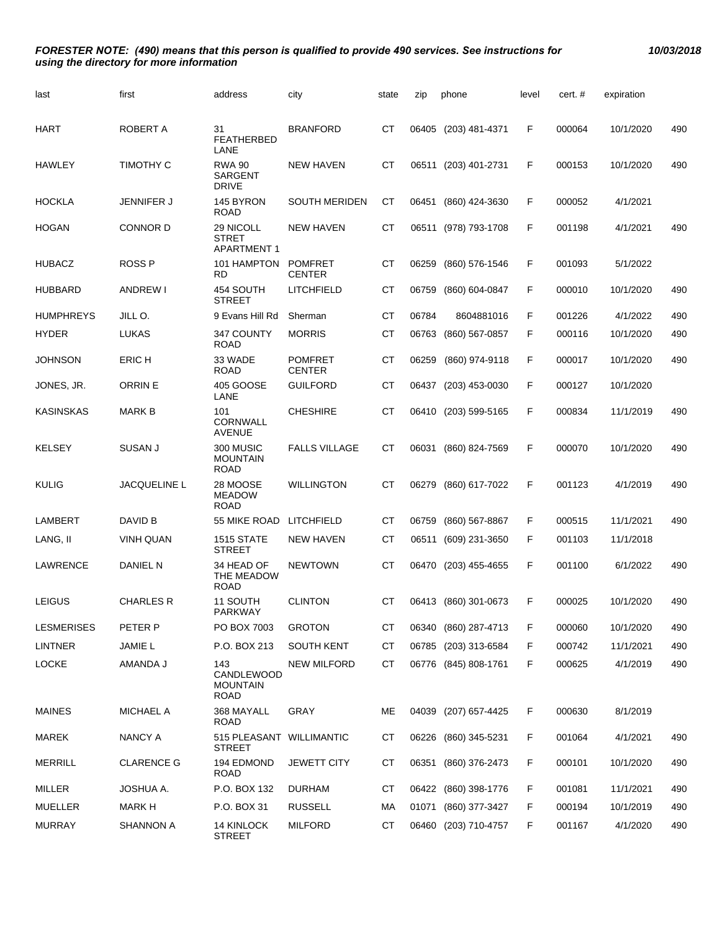| last              | first               | address                                             | city                            | state     | zip   | phone                | level | cert.# | expiration |     |
|-------------------|---------------------|-----------------------------------------------------|---------------------------------|-----------|-------|----------------------|-------|--------|------------|-----|
| <b>HART</b>       | ROBERT A            | 31<br><b>FEATHERBED</b><br>LANE                     | <b>BRANFORD</b>                 | <b>CT</b> | 06405 | (203) 481-4371       | F     | 000064 | 10/1/2020  | 490 |
| <b>HAWLEY</b>     | TIMOTHY C           | <b>RWA 90</b><br><b>SARGENT</b><br><b>DRIVE</b>     | <b>NEW HAVEN</b>                | <b>CT</b> | 06511 | (203) 401-2731       | F     | 000153 | 10/1/2020  | 490 |
| <b>HOCKLA</b>     | JENNIFER J          | 145 BYRON<br><b>ROAD</b>                            | <b>SOUTH MERIDEN</b>            | СT        | 06451 | (860) 424-3630       | F     | 000052 | 4/1/2021   |     |
| <b>HOGAN</b>      | <b>CONNOR D</b>     | 29 NICOLL<br><b>STRET</b><br><b>APARTMENT 1</b>     | <b>NEW HAVEN</b>                | <b>CT</b> | 06511 | (978) 793-1708       | F     | 001198 | 4/1/2021   | 490 |
| <b>HUBACZ</b>     | <b>ROSS P</b>       | 101 HAMPTON<br><b>RD</b>                            | <b>POMFRET</b><br><b>CENTER</b> | <b>CT</b> | 06259 | (860) 576-1546       | F     | 001093 | 5/1/2022   |     |
| <b>HUBBARD</b>    | <b>ANDREW I</b>     | 454 SOUTH<br><b>STREET</b>                          | LITCHFIELD                      | <b>CT</b> | 06759 | (860) 604-0847       | F     | 000010 | 10/1/2020  | 490 |
| <b>HUMPHREYS</b>  | JILL O.             | 9 Evans Hill Rd                                     | Sherman                         | <b>CT</b> | 06784 | 8604881016           | F     | 001226 | 4/1/2022   | 490 |
| <b>HYDER</b>      | LUKAS               | 347 COUNTY<br><b>ROAD</b>                           | <b>MORRIS</b>                   | СT        | 06763 | (860) 567-0857       | F     | 000116 | 10/1/2020  | 490 |
| <b>JOHNSON</b>    | ERIC <sub>H</sub>   | 33 WADE<br><b>ROAD</b>                              | <b>POMFRET</b><br><b>CENTER</b> | <b>CT</b> | 06259 | (860) 974-9118       | F     | 000017 | 10/1/2020  | 490 |
| JONES, JR.        | <b>ORRINE</b>       | 405 GOOSE<br>LANE                                   | <b>GUILFORD</b>                 | СT        | 06437 | (203) 453-0030       | F     | 000127 | 10/1/2020  |     |
| <b>KASINSKAS</b>  | <b>MARK B</b>       | 101<br><b>CORNWALL</b><br><b>AVENUE</b>             | <b>CHESHIRE</b>                 | <b>CT</b> | 06410 | (203) 599-5165       | F     | 000834 | 11/1/2019  | 490 |
| <b>KELSEY</b>     | <b>SUSAN J</b>      | 300 MUSIC<br><b>MOUNTAIN</b><br><b>ROAD</b>         | <b>FALLS VILLAGE</b>            | <b>CT</b> | 06031 | (860) 824-7569       | F     | 000070 | 10/1/2020  | 490 |
| <b>KULIG</b>      | <b>JACQUELINE L</b> | 28 MOOSE<br><b>MEADOW</b><br><b>ROAD</b>            | <b>WILLINGTON</b>               | СT        | 06279 | (860) 617-7022       | F     | 001123 | 4/1/2019   | 490 |
| LAMBERT           | DAVID B             | 55 MIKE ROAD                                        | <b>LITCHFIELD</b>               | СT        | 06759 | (860) 567-8867       | F     | 000515 | 11/1/2021  | 490 |
| LANG, II          | <b>VINH QUAN</b>    | <b>1515 STATE</b><br><b>STREET</b>                  | <b>NEW HAVEN</b>                | СT        | 06511 | (609) 231-3650       | F     | 001103 | 11/1/2018  |     |
| LAWRENCE          | DANIEL N            | 34 HEAD OF<br>THE MEADOW<br><b>ROAD</b>             | <b>NEWTOWN</b>                  | <b>CT</b> | 06470 | (203) 455-4655       | F     | 001100 | 6/1/2022   | 490 |
| <b>LEIGUS</b>     | <b>CHARLES R</b>    | 11 SOUTH<br><b>PARKWAY</b>                          | <b>CLINTON</b>                  | <b>CT</b> |       | 06413 (860) 301-0673 | F     | 000025 | 10/1/2020  | 490 |
| <b>LESMERISES</b> | PETER P             | PO BOX 7003                                         | <b>GROTON</b>                   | <b>CT</b> | 06340 | (860) 287-4713       | F     | 000060 | 10/1/2020  | 490 |
| <b>LINTNER</b>    | <b>JAMIE L</b>      | P.O. BOX 213                                        | <b>SOUTH KENT</b>               | CT        | 06785 | (203) 313-6584       | F     | 000742 | 11/1/2021  | 490 |
| LOCKE             | AMANDA J            | 143<br>CANDLEWOOD<br><b>MOUNTAIN</b><br><b>ROAD</b> | <b>NEW MILFORD</b>              | CT        |       | 06776 (845) 808-1761 | F     | 000625 | 4/1/2019   | 490 |
| <b>MAINES</b>     | <b>MICHAEL A</b>    | 368 MAYALL<br><b>ROAD</b>                           | GRAY                            | MЕ        | 04039 | (207) 657-4425       | F     | 000630 | 8/1/2019   |     |
| <b>MAREK</b>      | <b>NANCY A</b>      | 515 PLEASANT WILLIMANTIC<br><b>STREET</b>           |                                 | CT        | 06226 | (860) 345-5231       | F     | 001064 | 4/1/2021   | 490 |
| <b>MERRILL</b>    | <b>CLARENCE G</b>   | 194 EDMOND<br><b>ROAD</b>                           | <b>JEWETT CITY</b>              | CT        |       | 06351 (860) 376-2473 | F     | 000101 | 10/1/2020  | 490 |
| MILLER            | JOSHUA A.           | P.O. BOX 132                                        | <b>DURHAM</b>                   | <b>CT</b> |       | 06422 (860) 398-1776 | F     | 001081 | 11/1/2021  | 490 |
| <b>MUELLER</b>    | <b>MARKH</b>        | P.O. BOX 31                                         | <b>RUSSELL</b>                  | MA        | 01071 | (860) 377-3427       | F     | 000194 | 10/1/2019  | 490 |
| <b>MURRAY</b>     | SHANNON A           | 14 KINLOCK<br><b>STREET</b>                         | <b>MILFORD</b>                  | <b>CT</b> | 06460 | (203) 710-4757       | F     | 001167 | 4/1/2020   | 490 |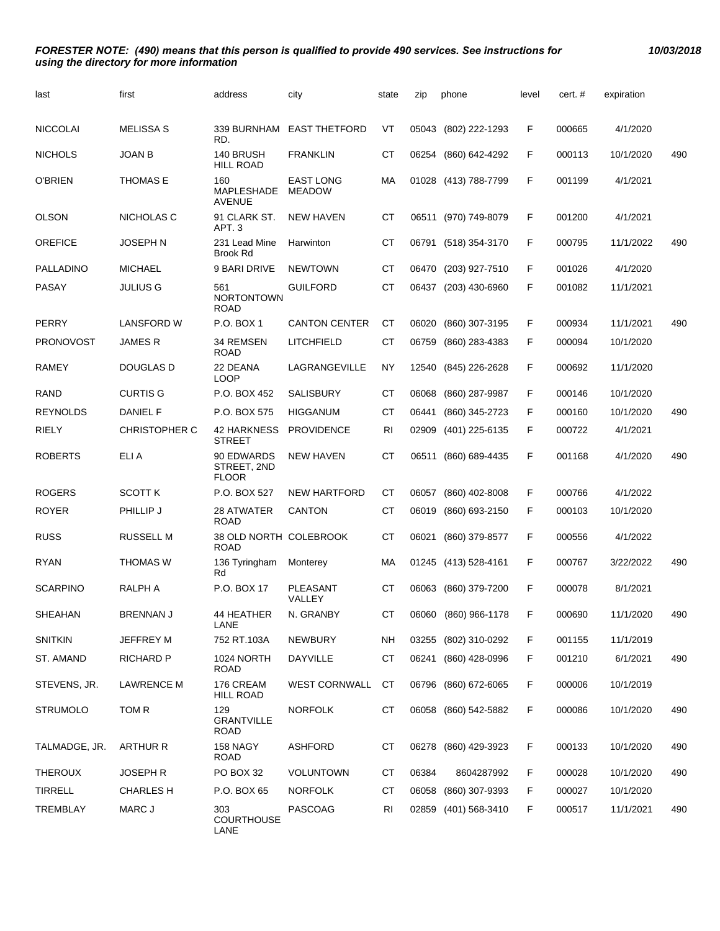| last             | first                | address                                   | city                              | state     | zip   | phone                | level | cert.# | expiration |     |
|------------------|----------------------|-------------------------------------------|-----------------------------------|-----------|-------|----------------------|-------|--------|------------|-----|
| <b>NICCOLAI</b>  | <b>MELISSA S</b>     | 339 BURNHAM<br>RD.                        | <b>EAST THETFORD</b>              | VT        | 05043 | (802) 222-1293       | F     | 000665 | 4/1/2020   |     |
| <b>NICHOLS</b>   | <b>JOAN B</b>        | 140 BRUSH<br><b>HILL ROAD</b>             | <b>FRANKLIN</b>                   | <b>CT</b> | 06254 | (860) 642-4292       | F     | 000113 | 10/1/2020  | 490 |
| O'BRIEN          | <b>THOMAS E</b>      | 160<br>MAPLESHADE<br><b>AVENUE</b>        | <b>EAST LONG</b><br><b>MEADOW</b> | МA        |       | 01028 (413) 788-7799 | F     | 001199 | 4/1/2021   |     |
| <b>OLSON</b>     | NICHOLAS C           | 91 CLARK ST.<br>APT.3                     | <b>NEW HAVEN</b>                  | СT        | 06511 | (970) 749-8079       | F     | 001200 | 4/1/2021   |     |
| <b>OREFICE</b>   | <b>JOSEPH N</b>      | 231 Lead Mine<br><b>Brook Rd</b>          | Harwinton                         | <b>CT</b> | 06791 | (518) 354-3170       | F     | 000795 | 11/1/2022  | 490 |
| PALLADINO        | <b>MICHAEL</b>       | 9 BARI DRIVE                              | <b>NEWTOWN</b>                    | <b>CT</b> | 06470 | (203) 927-7510       | F     | 001026 | 4/1/2020   |     |
| PASAY            | <b>JULIUS G</b>      | 561<br><b>NORTONTOWN</b><br><b>ROAD</b>   | <b>GUILFORD</b>                   | СT        | 06437 | $(203)$ 430-6960     | F     | 001082 | 11/1/2021  |     |
| <b>PERRY</b>     | <b>LANSFORD W</b>    | P.O. BOX 1                                | <b>CANTON CENTER</b>              | СT        | 06020 | (860) 307-3195       | F     | 000934 | 11/1/2021  | 490 |
| <b>PRONOVOST</b> | <b>JAMES R</b>       | 34 REMSEN<br><b>ROAD</b>                  | <b>LITCHFIELD</b>                 | <b>CT</b> | 06759 | (860) 283-4383       | F     | 000094 | 10/1/2020  |     |
| <b>RAMEY</b>     | DOUGLAS D            | 22 DEANA<br><b>LOOP</b>                   | LAGRANGEVILLE                     | NΥ        | 12540 | (845) 226-2628       | F     | 000692 | 11/1/2020  |     |
| <b>RAND</b>      | <b>CURTIS G</b>      | P.O. BOX 452                              | <b>SALISBURY</b>                  | СT        | 06068 | (860) 287-9987       | F     | 000146 | 10/1/2020  |     |
| <b>REYNOLDS</b>  | <b>DANIEL F</b>      | P.O. BOX 575                              | <b>HIGGANUM</b>                   | СT        | 06441 | (860) 345-2723       | F     | 000160 | 10/1/2020  | 490 |
| <b>RIELY</b>     | <b>CHRISTOPHER C</b> | <b>42 HARKNESS</b><br><b>STREET</b>       | <b>PROVIDENCE</b>                 | RI        | 02909 | (401) 225-6135       | F     | 000722 | 4/1/2021   |     |
| <b>ROBERTS</b>   | ELI A                | 90 EDWARDS<br>STREET, 2ND<br><b>FLOOR</b> | <b>NEW HAVEN</b>                  | СT        | 06511 | (860) 689-4435       | F     | 001168 | 4/1/2020   | 490 |
| <b>ROGERS</b>    | <b>SCOTT K</b>       | P.O. BOX 527                              | <b>NEW HARTFORD</b>               | СT        | 06057 | $(860)$ 402-8008     | F     | 000766 | 4/1/2022   |     |
| <b>ROYER</b>     | PHILLIP J            | 28 ATWATER<br><b>ROAD</b>                 | <b>CANTON</b>                     | СT        | 06019 | (860) 693-2150       | F     | 000103 | 10/1/2020  |     |
| <b>RUSS</b>      | <b>RUSSELL M</b>     | 38 OLD NORTH COLEBROOK<br><b>ROAD</b>     |                                   | <b>CT</b> | 06021 | (860) 379-8577       | F     | 000556 | 4/1/2022   |     |
| <b>RYAN</b>      | <b>THOMAS W</b>      | 136 Tyringham<br>Rd                       | Monterey                          | МA        | 01245 | $(413)$ 528-4161     | F     | 000767 | 3/22/2022  | 490 |
| <b>SCARPINO</b>  | RALPH A              | P.O. BOX 17                               | PLEASANT<br>VALLEY                | СT        | 06063 | (860) 379-7200       | F     | 000078 | 8/1/2021   |     |
| SHEAHAN          | <b>BRENNAN J</b>     | 44 HEATHER<br>LANE                        | N. GRANBY                         | <b>CT</b> |       | 06060 (860) 966-1178 | F     | 000690 | 11/1/2020  | 490 |
| <b>SNITKIN</b>   | <b>JEFFREY M</b>     | 752 RT.103A                               | NEWBURY                           | <b>NH</b> | 03255 | (802) 310-0292       | F     | 001155 | 11/1/2019  |     |
| <b>ST. AMAND</b> | <b>RICHARD P</b>     | 1024 NORTH<br><b>ROAD</b>                 | <b>DAYVILLE</b>                   | СT        | 06241 | (860) 428-0996       | F     | 001210 | 6/1/2021   | 490 |
| STEVENS, JR.     | <b>LAWRENCE M</b>    | 176 CREAM<br><b>HILL ROAD</b>             | <b>WEST CORNWALL</b>              | <b>CT</b> |       | 06796 (860) 672-6065 | F     | 000006 | 10/1/2019  |     |
| <b>STRUMOLO</b>  | TOM R                | 129<br><b>GRANTVILLE</b><br><b>ROAD</b>   | <b>NORFOLK</b>                    | CT        |       | 06058 (860) 542-5882 | F     | 000086 | 10/1/2020  | 490 |
| TALMADGE, JR.    | <b>ARTHUR R</b>      | 158 NAGY<br><b>ROAD</b>                   | <b>ASHFORD</b>                    | CT        |       | 06278 (860) 429-3923 | F     | 000133 | 10/1/2020  | 490 |
| <b>THEROUX</b>   | <b>JOSEPH R</b>      | PO BOX 32                                 | <b>VOLUNTOWN</b>                  | CT        | 06384 | 8604287992           | F     | 000028 | 10/1/2020  | 490 |
| <b>TIRRELL</b>   | <b>CHARLES H</b>     | P.O. BOX 65                               | <b>NORFOLK</b>                    | СT        | 06058 | (860) 307-9393       | F     | 000027 | 10/1/2020  |     |
| <b>TREMBLAY</b>  | <b>MARC J</b>        | 303<br>COURTHOUSE<br>LANE                 | <b>PASCOAG</b>                    | RI        | 02859 | (401) 568-3410       | F     | 000517 | 11/1/2021  | 490 |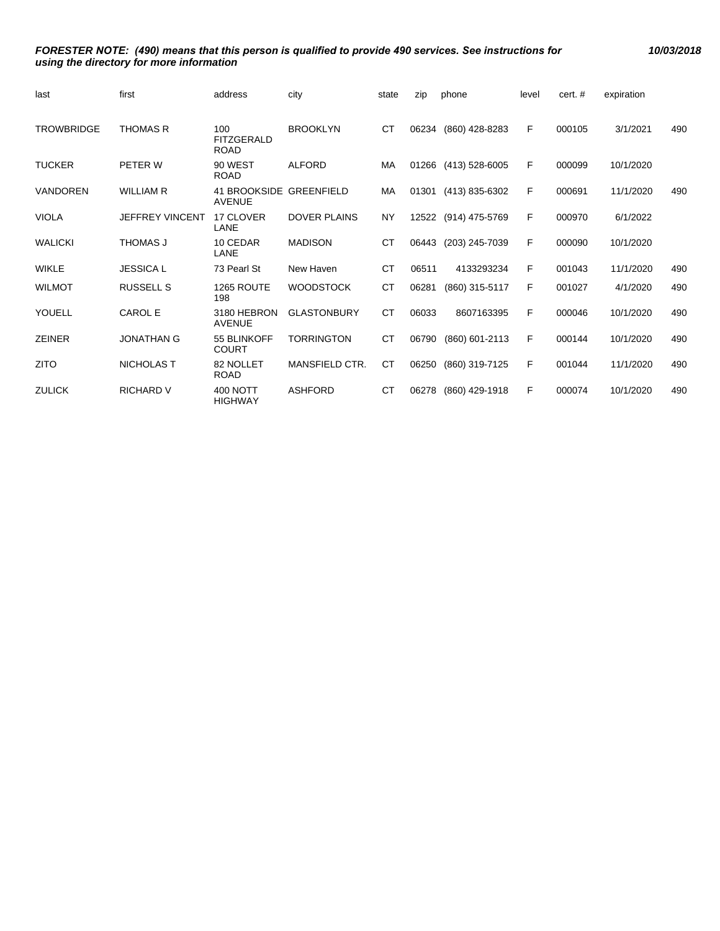| last              | first             | address                                  | city                  | state     | zip   | phone                | level | cert.# | expiration |     |
|-------------------|-------------------|------------------------------------------|-----------------------|-----------|-------|----------------------|-------|--------|------------|-----|
| <b>TROWBRIDGE</b> | <b>THOMAS R</b>   | 100<br><b>FITZGERALD</b><br><b>ROAD</b>  | <b>BROOKLYN</b>       | CT        | 06234 | (860) 428-8283       | F     | 000105 | 3/1/2021   | 490 |
| <b>TUCKER</b>     | PETER W           | 90 WEST<br><b>ROAD</b>                   | <b>ALFORD</b>         | МA        |       | 01266 (413) 528-6005 | F     | 000099 | 10/1/2020  |     |
| VANDOREN          | <b>WILLIAM R</b>  | 41 BROOKSIDE GREENFIELD<br><b>AVENUE</b> |                       | МA        | 01301 | (413) 835-6302       | F     | 000691 | 11/1/2020  | 490 |
| <b>VIOLA</b>      | JEFFREY VINCENT   | 17 CLOVER<br>LANE                        | <b>DOVER PLAINS</b>   | <b>NY</b> |       | 12522 (914) 475-5769 | F     | 000970 | 6/1/2022   |     |
| <b>WALICKI</b>    | THOMAS J          | 10 CEDAR<br>LANE                         | <b>MADISON</b>        | <b>CT</b> | 06443 | (203) 245-7039       | F     | 000090 | 10/1/2020  |     |
| WIKLE             | <b>JESSICA L</b>  | 73 Pearl St                              | New Haven             | <b>CT</b> | 06511 | 4133293234           | F     | 001043 | 11/1/2020  | 490 |
| <b>WILMOT</b>     | <b>RUSSELL S</b>  | 1265 ROUTE<br>198                        | <b>WOODSTOCK</b>      | CT        | 06281 | (860) 315-5117       | F     | 001027 | 4/1/2020   | 490 |
| YOUELL            | <b>CAROL E</b>    | 3180 HEBRON<br><b>AVENUE</b>             | <b>GLASTONBURY</b>    | <b>CT</b> | 06033 | 8607163395           | F     | 000046 | 10/1/2020  | 490 |
| <b>ZEINER</b>     | <b>JONATHAN G</b> | 55 BLINKOFF<br><b>COURT</b>              | <b>TORRINGTON</b>     | <b>CT</b> | 06790 | (860) 601-2113       | F     | 000144 | 10/1/2020  | 490 |
| <b>ZITO</b>       | NICHOLAS T        | 82 NOLLET<br>ROAD                        | <b>MANSFIELD CTR.</b> | <b>CT</b> | 06250 | (860) 319-7125       | F     | 001044 | 11/1/2020  | 490 |
| <b>ZULICK</b>     | <b>RICHARD V</b>  | 400 NOTT<br><b>HIGHWAY</b>               | <b>ASHFORD</b>        | <b>CT</b> | 06278 | (860) 429-1918       | F     | 000074 | 10/1/2020  | 490 |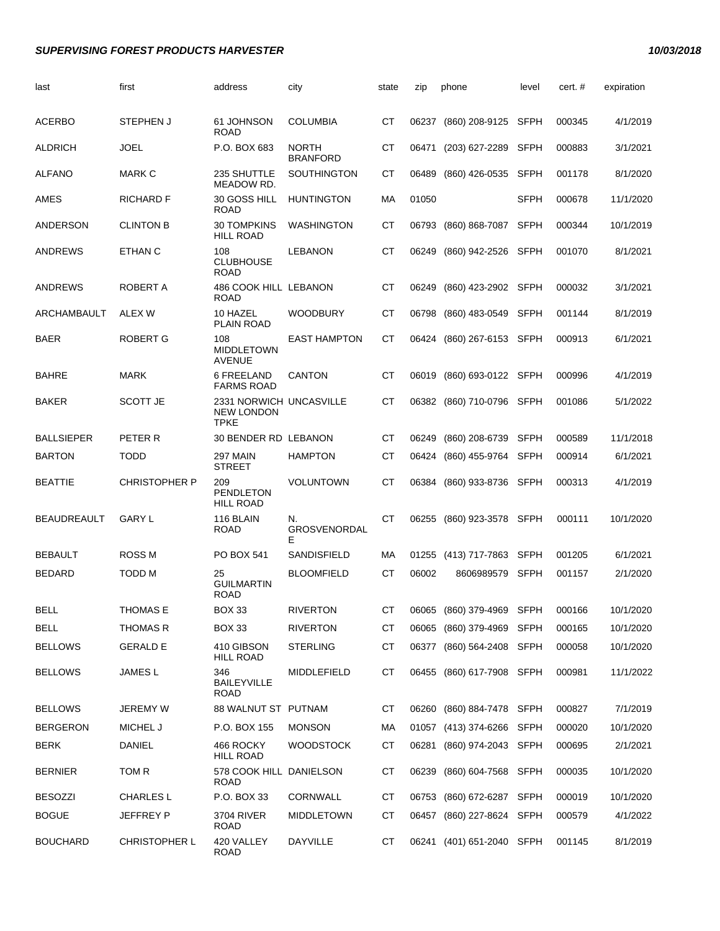| last               | first                | address                                                     | city                            | state     | zip   | phone                     | level       | cert. # | expiration |
|--------------------|----------------------|-------------------------------------------------------------|---------------------------------|-----------|-------|---------------------------|-------------|---------|------------|
| <b>ACERBO</b>      | <b>STEPHEN J</b>     | 61 JOHNSON<br><b>ROAD</b>                                   | <b>COLUMBIA</b>                 | <b>CT</b> | 06237 | (860) 208-9125 SFPH       |             | 000345  | 4/1/2019   |
| <b>ALDRICH</b>     | JOEL                 | P.O. BOX 683                                                | <b>NORTH</b><br><b>BRANFORD</b> | СT        | 06471 | (203) 627-2289            | <b>SFPH</b> | 000883  | 3/1/2021   |
| <b>ALFANO</b>      | <b>MARK C</b>        | 235 SHUTTLE<br>MEADOW RD.                                   | <b>SOUTHINGTON</b>              | CТ        | 06489 | (860) 426-0535            | <b>SFPH</b> | 001178  | 8/1/2020   |
| AMES               | RICHARD F            | 30 GOSS HILL<br>ROAD                                        | <b>HUNTINGTON</b>               | МA        | 01050 |                           | <b>SFPH</b> | 000678  | 11/1/2020  |
| <b>ANDERSON</b>    | <b>CLINTON B</b>     | 30 TOMPKINS<br><b>HILL ROAD</b>                             | <b>WASHINGTON</b>               | СT        | 06793 | (860) 868-7087            | <b>SFPH</b> | 000344  | 10/1/2019  |
| ANDREWS            | <b>ETHAN C</b>       | 108<br><b>CLUBHOUSE</b><br><b>ROAD</b>                      | <b>LEBANON</b>                  | СT        | 06249 | (860) 942-2526            | SFPH        | 001070  | 8/1/2021   |
| ANDREWS            | ROBERT A             | 486 COOK HILL LEBANON<br><b>ROAD</b>                        |                                 | СT        | 06249 | (860) 423-2902 SFPH       |             | 000032  | 3/1/2021   |
| ARCHAMBAULT        | ALEX W               | 10 HAZEL<br>PLAIN ROAD                                      | <b>WOODBURY</b>                 | СT        | 06798 | (860) 483-0549            | <b>SFPH</b> | 001144  | 8/1/2019   |
| <b>BAER</b>        | <b>ROBERT G</b>      | 108<br><b>MIDDLETOWN</b><br><b>AVENUE</b>                   | <b>EAST HAMPTON</b>             | СT        |       | 06424 (860) 267-6153 SFPH |             | 000913  | 6/1/2021   |
| <b>BAHRE</b>       | <b>MARK</b>          | 6 FREELAND<br><b>FARMS ROAD</b>                             | <b>CANTON</b>                   | СT        | 06019 | (860) 693-0122 SFPH       |             | 000996  | 4/1/2019   |
| <b>BAKER</b>       | <b>SCOTT JE</b>      | 2331 NORWICH UNCASVILLE<br><b>NEW LONDON</b><br><b>TPKE</b> |                                 | СT        |       | 06382 (860) 710-0796 SFPH |             | 001086  | 5/1/2022   |
| <b>BALLSIEPER</b>  | PETER R              | 30 BENDER RD LEBANON                                        |                                 | СT        | 06249 | (860) 208-6739            | <b>SFPH</b> | 000589  | 11/1/2018  |
| <b>BARTON</b>      | <b>TODD</b>          | <b>297 MAIN</b><br><b>STREET</b>                            | <b>HAMPTON</b>                  | СT        | 06424 | (860) 455-9764            | SFPH        | 000914  | 6/1/2021   |
| <b>BEATTIE</b>     | <b>CHRISTOPHER P</b> | 209<br><b>PENDLETON</b><br><b>HILL ROAD</b>                 | <b>VOLUNTOWN</b>                | СT        | 06384 | (860) 933-8736 SFPH       |             | 000313  | 4/1/2019   |
| <b>BEAUDREAULT</b> | <b>GARY L</b>        | 116 BLAIN<br>ROAD                                           | N.<br><b>GROSVENORDAL</b><br>Е  | СT        | 06255 | (860) 923-3578 SFPH       |             | 000111  | 10/1/2020  |
| <b>BEBAULT</b>     | ROSS <sub>M</sub>    | PO BOX 541                                                  | SANDISFIELD                     | МA        |       | 01255 (413) 717-7863 SFPH |             | 001205  | 6/1/2021   |
| <b>BEDARD</b>      | TODD M               | 25<br><b>GUILMARTIN</b><br><b>ROAD</b>                      | <b>BLOOMFIELD</b>               | СT        | 06002 | 8606989579 SFPH           |             | 001157  | 2/1/2020   |
| <b>BELL</b>        | <b>THOMAS E</b>      | <b>BOX 33</b>                                               | <b>RIVERTON</b>                 | CT        |       | 06065 (860) 379-4969 SFPH |             | 000166  | 10/1/2020  |
| BELL               | THOMAS R             | <b>BOX 33</b>                                               | <b>RIVERTON</b>                 | СT        |       | 06065 (860) 379-4969 SFPH |             | 000165  | 10/1/2020  |
| <b>BELLOWS</b>     | <b>GERALD E</b>      | 410 GIBSON<br><b>HILL ROAD</b>                              | <b>STERLING</b>                 | СT        |       | 06377 (860) 564-2408 SFPH |             | 000058  | 10/1/2020  |
| <b>BELLOWS</b>     | JAMES L              | 346<br><b>BAILEYVILLE</b><br><b>ROAD</b>                    | MIDDLEFIELD                     | <b>CT</b> |       | 06455 (860) 617-7908 SFPH |             | 000981  | 11/1/2022  |
| <b>BELLOWS</b>     | <b>JEREMY W</b>      | 88 WALNUT ST PUTNAM                                         |                                 | СT        |       | 06260 (860) 884-7478 SFPH |             | 000827  | 7/1/2019   |
| <b>BERGERON</b>    | <b>MICHEL J</b>      | P.O. BOX 155                                                | <b>MONSON</b>                   | МA        |       | 01057 (413) 374-6266 SFPH |             | 000020  | 10/1/2020  |
| <b>BERK</b>        | DANIEL               | 466 ROCKY<br><b>HILL ROAD</b>                               | <b>WOODSTOCK</b>                | СT        |       | 06281 (860) 974-2043 SFPH |             | 000695  | 2/1/2021   |
| <b>BERNIER</b>     | TOM R                | 578 COOK HILL DANIELSON<br><b>ROAD</b>                      |                                 | CT        | 06239 | (860) 604-7568 SFPH       |             | 000035  | 10/1/2020  |
| <b>BESOZZI</b>     | <b>CHARLES L</b>     | P.O. BOX 33                                                 | CORNWALL                        | CT        |       | 06753 (860) 672-6287 SFPH |             | 000019  | 10/1/2020  |
| <b>BOGUE</b>       | JEFFREY P            | 3704 RIVER<br><b>ROAD</b>                                   | <b>MIDDLETOWN</b>               | СT        |       | 06457 (860) 227-8624 SFPH |             | 000579  | 4/1/2022   |
| <b>BOUCHARD</b>    | <b>CHRISTOPHER L</b> | 420 VALLEY<br><b>ROAD</b>                                   | DAYVILLE                        | <b>CT</b> |       | 06241 (401) 651-2040 SFPH |             | 001145  | 8/1/2019   |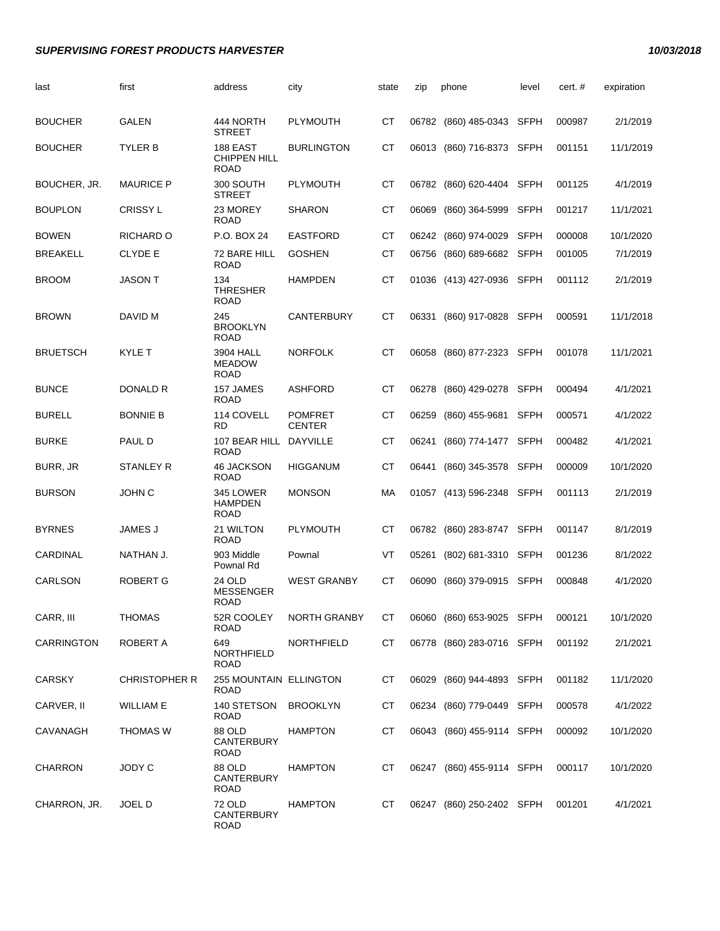| last              | first                | address                                          | city                            | state     | zip   | phone                     | level       | cert.# | expiration |
|-------------------|----------------------|--------------------------------------------------|---------------------------------|-----------|-------|---------------------------|-------------|--------|------------|
| <b>BOUCHER</b>    | <b>GALEN</b>         | 444 NORTH<br><b>STREET</b>                       | <b>PLYMOUTH</b>                 | <b>CT</b> |       | 06782 (860) 485-0343 SFPH |             | 000987 | 2/1/2019   |
| <b>BOUCHER</b>    | <b>TYLER B</b>       | 188 EAST<br><b>CHIPPEN HILL</b><br><b>ROAD</b>   | <b>BURLINGTON</b>               | CT.       | 06013 | (860) 716-8373            | SFPH        | 001151 | 11/1/2019  |
| BOUCHER, JR.      | <b>MAURICE P</b>     | 300 SOUTH<br><b>STREET</b>                       | <b>PLYMOUTH</b>                 | СT        | 06782 | (860) 620-4404            | SFPH        | 001125 | 4/1/2019   |
| <b>BOUPLON</b>    | <b>CRISSY L</b>      | 23 MOREY<br><b>ROAD</b>                          | <b>SHARON</b>                   | <b>CT</b> | 06069 | (860) 364-5999            | SFPH        | 001217 | 11/1/2021  |
| <b>BOWEN</b>      | RICHARD O            | P.O. BOX 24                                      | <b>EASTFORD</b>                 | CT.       | 06242 | (860) 974-0029            | <b>SFPH</b> | 000008 | 10/1/2020  |
| <b>BREAKELL</b>   | <b>CLYDE E</b>       | 72 BARE HILL<br><b>ROAD</b>                      | <b>GOSHEN</b>                   | СT        | 06756 | (860) 689-6682            | <b>SFPH</b> | 001005 | 7/1/2019   |
| <b>BROOM</b>      | <b>JASON T</b>       | 134<br><b>THRESHER</b><br><b>ROAD</b>            | <b>HAMPDEN</b>                  | СT        |       | 01036 (413) 427-0936 SFPH |             | 001112 | 2/1/2019   |
| <b>BROWN</b>      | DAVID M              | 245<br><b>BROOKLYN</b><br><b>ROAD</b>            | <b>CANTERBURY</b>               | СT        | 06331 | (860) 917-0828 SFPH       |             | 000591 | 11/1/2018  |
| <b>BRUETSCH</b>   | KYLE T               | 3904 HALL<br><b>MEADOW</b><br><b>ROAD</b>        | <b>NORFOLK</b>                  | СT        | 06058 | (860) 877-2323 SFPH       |             | 001078 | 11/1/2021  |
| <b>BUNCE</b>      | DONALD R             | 157 JAMES<br><b>ROAD</b>                         | <b>ASHFORD</b>                  | СT        | 06278 | (860) 429-0278 SFPH       |             | 000494 | 4/1/2021   |
| <b>BURELL</b>     | <b>BONNIE B</b>      | 114 COVELL<br><b>RD</b>                          | <b>POMFRET</b><br><b>CENTER</b> | <b>CT</b> | 06259 | (860) 455-9681            | <b>SFPH</b> | 000571 | 4/1/2022   |
| <b>BURKE</b>      | PAUL D               | 107 BEAR HILL<br><b>ROAD</b>                     | DAYVILLE                        | <b>CT</b> | 06241 | (860) 774-1477            | <b>SFPH</b> | 000482 | 4/1/2021   |
| BURR, JR          | <b>STANLEY R</b>     | 46 JACKSON<br><b>ROAD</b>                        | <b>HIGGANUM</b>                 | СT        | 06441 | (860) 345-3578 SFPH       |             | 000009 | 10/1/2020  |
| <b>BURSON</b>     | <b>JOHN C</b>        | 345 LOWER<br><b>HAMPDEN</b><br><b>ROAD</b>       | <b>MONSON</b>                   | МA        |       | 01057 (413) 596-2348      | SFPH        | 001113 | 2/1/2019   |
| <b>BYRNES</b>     | <b>JAMES J</b>       | 21 WILTON<br><b>ROAD</b>                         | <b>PLYMOUTH</b>                 | СT        |       | 06782 (860) 283-8747 SFPH |             | 001147 | 8/1/2019   |
| CARDINAL          | NATHAN J.            | 903 Middle<br>Pownal Rd                          | Pownal                          | VT        | 05261 | (802) 681-3310            | SFPH        | 001236 | 8/1/2022   |
| CARLSON           | ROBERT G             | <b>24 OLD</b><br><b>MESSENGER</b><br><b>ROAD</b> | <b>WEST GRANBY</b>              | СT        | 06090 | (860) 379-0915 SFPH       |             | 000848 | 4/1/2020   |
| CARR, III         | <b>THOMAS</b>        | 52R COOLEY<br><b>ROAD</b>                        | <b>NORTH GRANBY</b>             | СT        |       | 06060 (860) 653-9025 SFPH |             | 000121 | 10/1/2020  |
| <b>CARRINGTON</b> | ROBERT A             | 649<br><b>NORTHFIELD</b><br><b>ROAD</b>          | NORTHFIELD                      | СT        |       | 06778 (860) 283-0716 SFPH |             | 001192 | 2/1/2021   |
| <b>CARSKY</b>     | <b>CHRISTOPHER R</b> | 255 MOUNTAIN ELLINGTON<br><b>ROAD</b>            |                                 | СT        |       | 06029 (860) 944-4893 SFPH |             | 001182 | 11/1/2020  |
| CARVER, II        | <b>WILLIAM E</b>     | 140 STETSON<br><b>ROAD</b>                       | <b>BROOKLYN</b>                 | СT        |       | 06234 (860) 779-0449 SFPH |             | 000578 | 4/1/2022   |
| CAVANAGH          | <b>THOMAS W</b>      | 88 OLD<br><b>CANTERBURY</b><br>ROAD              | <b>HAMPTON</b>                  | СT        |       | 06043 (860) 455-9114 SFPH |             | 000092 | 10/1/2020  |
| CHARRON           | JODY C               | 88 OLD<br><b>CANTERBURY</b><br><b>ROAD</b>       | <b>HAMPTON</b>                  | СT        |       | 06247 (860) 455-9114 SFPH |             | 000117 | 10/1/2020  |
| CHARRON, JR.      | JOEL D               | <b>72 OLD</b><br><b>CANTERBURY</b><br>ROAD       | <b>HAMPTON</b>                  | СT        |       | 06247 (860) 250-2402 SFPH |             | 001201 | 4/1/2021   |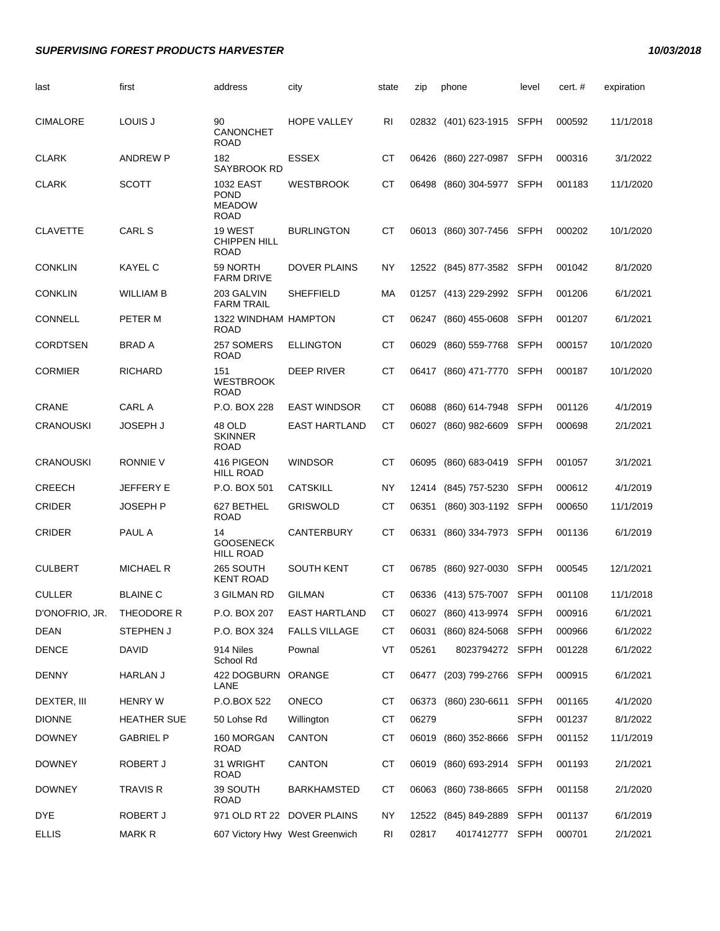| last             | first              | address                                                  | city                           | state     | zip   | phone                     | level       | cert. # | expiration |
|------------------|--------------------|----------------------------------------------------------|--------------------------------|-----------|-------|---------------------------|-------------|---------|------------|
| <b>CIMALORE</b>  | LOUIS J            | 90<br>CANONCHET<br><b>ROAD</b>                           | <b>HOPE VALLEY</b>             | RI        |       | 02832 (401) 623-1915 SFPH |             | 000592  | 11/1/2018  |
| <b>CLARK</b>     | <b>ANDREW P</b>    | 182<br>SAYBROOK RD                                       | <b>ESSEX</b>                   | СT        | 06426 | (860) 227-0987 SFPH       |             | 000316  | 3/1/2022   |
| <b>CLARK</b>     | <b>SCOTT</b>       | 1032 EAST<br><b>POND</b><br><b>MEADOW</b><br><b>ROAD</b> | <b>WESTBROOK</b>               | СT        |       | 06498 (860) 304-5977 SFPH |             | 001183  | 11/1/2020  |
| <b>CLAVETTE</b>  | <b>CARL S</b>      | 19 WEST<br><b>CHIPPEN HILL</b><br>ROAD                   | <b>BURLINGTON</b>              | СT        |       | 06013 (860) 307-7456 SFPH |             | 000202  | 10/1/2020  |
| <b>CONKLIN</b>   | <b>KAYEL C</b>     | 59 NORTH<br><b>FARM DRIVE</b>                            | <b>DOVER PLAINS</b>            | ΝY        |       | 12522 (845) 877-3582 SFPH |             | 001042  | 8/1/2020   |
| <b>CONKLIN</b>   | <b>WILLIAM B</b>   | 203 GALVIN<br><b>FARM TRAIL</b>                          | <b>SHEFFIELD</b>               | МA        |       | 01257 (413) 229-2992 SFPH |             | 001206  | 6/1/2021   |
| <b>CONNELL</b>   | PETER M            | 1322 WINDHAM HAMPTON<br>ROAD                             |                                | СT        |       | 06247 (860) 455-0608 SFPH |             | 001207  | 6/1/2021   |
| <b>CORDTSEN</b>  | <b>BRAD A</b>      | 257 SOMERS<br><b>ROAD</b>                                | <b>ELLINGTON</b>               | СT        | 06029 | (860) 559-7768            | SFPH        | 000157  | 10/1/2020  |
| <b>CORMIER</b>   | <b>RICHARD</b>     | 151<br>WESTBROOK<br><b>ROAD</b>                          | DEEP RIVER                     | СT        |       | 06417 (860) 471-7770 SFPH |             | 000187  | 10/1/2020  |
| <b>CRANE</b>     | <b>CARL A</b>      | P.O. BOX 228                                             | <b>EAST WINDSOR</b>            | СT        |       | 06088 (860) 614-7948 SFPH |             | 001126  | 4/1/2019   |
| <b>CRANOUSKI</b> | <b>JOSEPH J</b>    | 48 OLD<br><b>SKINNER</b><br><b>ROAD</b>                  | <b>EAST HARTLAND</b>           | СT        |       | 06027 (860) 982-6609 SFPH |             | 000698  | 2/1/2021   |
| <b>CRANOUSKI</b> | <b>RONNIE V</b>    | 416 PIGEON<br><b>HILL ROAD</b>                           | <b>WINDSOR</b>                 | СT        |       | 06095 (860) 683-0419 SFPH |             | 001057  | 3/1/2021   |
| <b>CREECH</b>    | <b>JEFFERY E</b>   | P.O. BOX 501                                             | <b>CATSKILL</b>                | NY        |       | 12414 (845) 757-5230 SFPH |             | 000612  | 4/1/2019   |
| <b>CRIDER</b>    | <b>JOSEPH P</b>    | 627 BETHEL<br><b>ROAD</b>                                | <b>GRISWOLD</b>                | СT        | 06351 | (860) 303-1192 SFPH       |             | 000650  | 11/1/2019  |
| <b>CRIDER</b>    | PAUL A             | 14<br><b>GOOSENECK</b><br><b>HILL ROAD</b>               | <b>CANTERBURY</b>              | СT        | 06331 | (860) 334-7973 SFPH       |             | 001136  | 6/1/2019   |
| <b>CULBERT</b>   | <b>MICHAEL R</b>   | 265 SOUTH<br><b>KENT ROAD</b>                            | <b>SOUTH KENT</b>              | CT.       |       | 06785 (860) 927-0030 SFPH |             | 000545  | 12/1/2021  |
| <b>CULLER</b>    | <b>BLAINE C</b>    | 3 GILMAN RD                                              | <b>GILMAN</b>                  | СT        |       | 06336 (413) 575-7007 SFPH |             | 001108  | 11/1/2018  |
| D'ONOFRIO, JR.   | THEODORE R         | P.O. BOX 207                                             | <b>EAST HARTLAND</b>           | CT        |       | 06027 (860) 413-9974 SFPH |             | 000916  | 6/1/2021   |
| <b>DEAN</b>      | STEPHEN J          | P.O. BOX 324                                             | <b>FALLS VILLAGE</b>           | СT        | 06031 | (860) 824-5068            | SFPH        | 000966  | 6/1/2022   |
| <b>DENCE</b>     | <b>DAVID</b>       | 914 Niles<br>School Rd                                   | Pownal                         | VT        | 05261 | 8023794272 SFPH           |             | 001228  | 6/1/2022   |
| <b>DENNY</b>     | <b>HARLAN J</b>    | 422 DOGBURN ORANGE<br>LANE                               |                                | СT        |       | 06477 (203) 799-2766 SFPH |             | 000915  | 6/1/2021   |
| DEXTER, III      | <b>HENRY W</b>     | P.O.BOX 522                                              | ONECO                          | CT        | 06373 | (860) 230-6611            | <b>SFPH</b> | 001165  | 4/1/2020   |
| <b>DIONNE</b>    | <b>HEATHER SUE</b> | 50 Lohse Rd                                              | Willington                     | СT        | 06279 |                           | <b>SFPH</b> | 001237  | 8/1/2022   |
| <b>DOWNEY</b>    | <b>GABRIEL P</b>   | 160 MORGAN<br><b>ROAD</b>                                | <b>CANTON</b>                  | СT        |       | 06019 (860) 352-8666      | SFPH        | 001152  | 11/1/2019  |
| <b>DOWNEY</b>    | ROBERT J           | 31 WRIGHT<br>ROAD                                        | <b>CANTON</b>                  | <b>CT</b> |       | 06019 (860) 693-2914 SFPH |             | 001193  | 2/1/2021   |
| <b>DOWNEY</b>    | <b>TRAVIS R</b>    | 39 SOUTH<br><b>ROAD</b>                                  | <b>BARKHAMSTED</b>             | СT        |       | 06063 (860) 738-8665 SFPH |             | 001158  | 2/1/2020   |
| <b>DYE</b>       | ROBERT J           |                                                          | 971 OLD RT 22 DOVER PLAINS     | NY.       |       | 12522 (845) 849-2889      | SFPH        | 001137  | 6/1/2019   |
| <b>ELLIS</b>     | <b>MARK R</b>      |                                                          | 607 Victory Hwy West Greenwich | RI        | 02817 | 4017412777 SFPH           |             | 000701  | 2/1/2021   |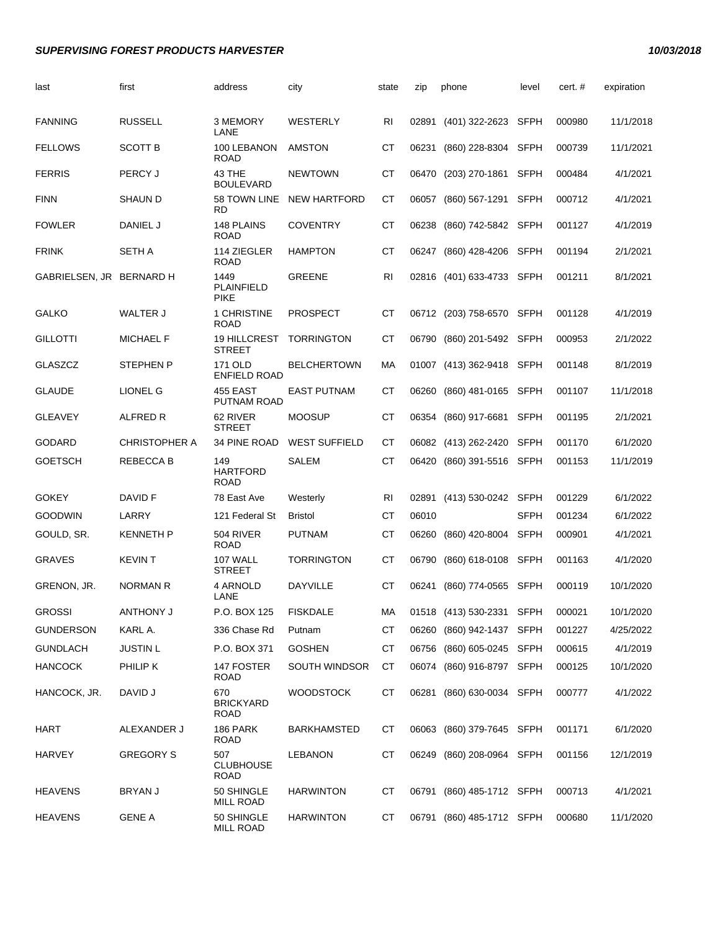| last                     | first                | address                                  | city                 | state     | zip   | phone                            | level       | cert.# | expiration |
|--------------------------|----------------------|------------------------------------------|----------------------|-----------|-------|----------------------------------|-------------|--------|------------|
| <b>FANNING</b>           | <b>RUSSELL</b>       | 3 MEMORY<br>LANE                         | WESTERLY             | RI        | 02891 | (401) 322-2623                   | SFPH        | 000980 | 11/1/2018  |
| <b>FELLOWS</b>           | <b>SCOTT B</b>       | 100 LEBANON<br><b>ROAD</b>               | <b>AMSTON</b>        | СT        | 06231 | (860) 228-8304                   | SFPH        | 000739 | 11/1/2021  |
| <b>FERRIS</b>            | PERCY J              | 43 THE<br><b>BOULEVARD</b>               | <b>NEWTOWN</b>       | СT        | 06470 | (203) 270-1861                   | SFPH        | 000484 | 4/1/2021   |
| <b>FINN</b>              | SHAUN D              | 58 TOWN LINE<br>RD                       | <b>NEW HARTFORD</b>  | СT        | 06057 | (860) 567-1291                   | <b>SFPH</b> | 000712 | 4/1/2021   |
| <b>FOWLER</b>            | DANIEL J             | 148 PLAINS<br><b>ROAD</b>                | <b>COVENTRY</b>      | СT        | 06238 | (860) 742-5842 SFPH              |             | 001127 | 4/1/2019   |
| <b>FRINK</b>             | SETH A               | 114 ZIEGLER<br><b>ROAD</b>               | <b>HAMPTON</b>       | СT        | 06247 | (860) 428-4206                   | SFPH        | 001194 | 2/1/2021   |
| GABRIELSEN, JR BERNARD H |                      | 1449<br><b>PLAINFIELD</b><br><b>PIKE</b> | <b>GREENE</b>        | RI        |       | 02816 (401) 633-4733 SFPH        |             | 001211 | 8/1/2021   |
| <b>GALKO</b>             | WALTER J             | 1 CHRISTINE<br><b>ROAD</b>               | <b>PROSPECT</b>      | СT        |       | 06712 (203) 758-6570 SFPH        |             | 001128 | 4/1/2019   |
| <b>GILLOTTI</b>          | <b>MICHAEL F</b>     | <b>19 HILLCREST</b><br><b>STREET</b>     | <b>TORRINGTON</b>    | СT        | 06790 | (860) 201-5492 SFPH              |             | 000953 | 2/1/2022   |
| GLASZCZ                  | <b>STEPHEN P</b>     | 171 OLD<br><b>ENFIELD ROAD</b>           | <b>BELCHERTOWN</b>   | МA        |       | 01007 (413) 362-9418             | SFPH        | 001148 | 8/1/2019   |
| <b>GLAUDE</b>            | LIONEL G             | 455 EAST<br>PUTNAM ROAD                  | <b>EAST PUTNAM</b>   | CТ        | 06260 | (860) 481-0165                   | SFPH        | 001107 | 11/1/2018  |
| <b>GLEAVEY</b>           | ALFRED R             | 62 RIVER<br><b>STREET</b>                | <b>MOOSUP</b>        | СT        |       | 06354 (860) 917-6681 SFPH        |             | 001195 | 2/1/2021   |
| <b>GODARD</b>            | <b>CHRISTOPHER A</b> | 34 PINE ROAD                             | <b>WEST SUFFIELD</b> | СT        |       | 06082 (413) 262-2420             | <b>SFPH</b> | 001170 | 6/1/2020   |
| <b>GOETSCH</b>           | REBECCA B            | 149<br><b>HARTFORD</b><br><b>ROAD</b>    | <b>SALEM</b>         | СT        | 06420 | (860) 391-5516                   | SFPH        | 001153 | 11/1/2019  |
| <b>GOKEY</b>             | DAVID F              | 78 East Ave                              | Westerly             | RI        |       | 02891 (413) 530-0242 SFPH        |             | 001229 | 6/1/2022   |
| <b>GOODWIN</b>           | LARRY                | 121 Federal St                           | <b>Bristol</b>       | СT        | 06010 |                                  | SFPH        | 001234 | 6/1/2022   |
| GOULD, SR.               | <b>KENNETH P</b>     | 504 RIVER<br><b>ROAD</b>                 | <b>PUTNAM</b>        | СT        | 06260 | (860) 420-8004                   | <b>SFPH</b> | 000901 | 4/1/2021   |
| <b>GRAVES</b>            | <b>KEVINT</b>        | 107 WALL<br><b>STREET</b>                | <b>TORRINGTON</b>    | СT        | 06790 | (860) 618-0108                   | <b>SFPH</b> | 001163 | 4/1/2020   |
| GRENON, JR.              | <b>NORMAN R</b>      | 4 ARNOLD<br>LANE                         | <b>DAYVILLE</b>      | СT        | 06241 | (860) 774-0565 SFPH              |             | 000119 | 10/1/2020  |
| <b>GROSSI</b>            | ANTHONY J            | P.O. BOX 125                             | <b>FISKDALE</b>      | MA        |       | 01518 (413) 530-2331 SFPH 000021 |             |        | 10/1/2020  |
| <b>GUNDERSON</b>         | KARL A.              | 336 Chase Rd                             | Putnam               | СT        | 06260 | (860) 942-1437 SFPH              |             | 001227 | 4/25/2022  |
| <b>GUNDLACH</b>          | <b>JUSTIN L</b>      | P.O. BOX 371                             | <b>GOSHEN</b>        | СT        |       | 06756 (860) 605-0245 SFPH        |             | 000615 | 4/1/2019   |
| <b>HANCOCK</b>           | PHILIP K             | 147 FOSTER<br><b>ROAD</b>                | <b>SOUTH WINDSOR</b> | СT        |       | 06074 (860) 916-8797 SFPH        |             | 000125 | 10/1/2020  |
| HANCOCK, JR.             | DAVID J              | 670<br><b>BRICKYARD</b><br><b>ROAD</b>   | <b>WOODSTOCK</b>     | <b>CT</b> | 06281 | (860) 630-0034 SFPH              |             | 000777 | 4/1/2022   |
| <b>HART</b>              | ALEXANDER J          | 186 PARK<br>ROAD                         | <b>BARKHAMSTED</b>   | <b>CT</b> |       | 06063 (860) 379-7645 SFPH        |             | 001171 | 6/1/2020   |
| <b>HARVEY</b>            | <b>GREGORY S</b>     | 507<br><b>CLUBHOUSE</b><br><b>ROAD</b>   | <b>LEBANON</b>       | CT        |       | 06249 (860) 208-0964 SFPH        |             | 001156 | 12/1/2019  |
| <b>HEAVENS</b>           | <b>BRYAN J</b>       | 50 SHINGLE<br>MILL ROAD                  | <b>HARWINTON</b>     | СT        | 06791 | (860) 485-1712 SFPH              |             | 000713 | 4/1/2021   |
| <b>HEAVENS</b>           | <b>GENE A</b>        | 50 SHINGLE<br><b>MILL ROAD</b>           | <b>HARWINTON</b>     | СT        |       | 06791 (860) 485-1712 SFPH        |             | 000680 | 11/1/2020  |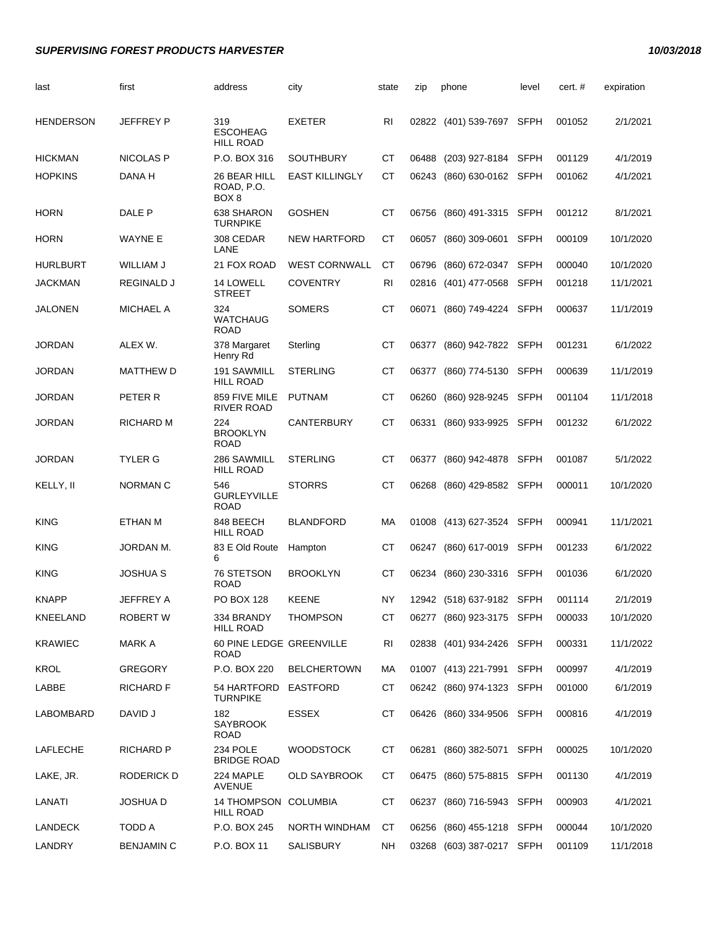| last           | first             | address                                    | city                  | state          | zip   | phone                     | level       | cert. # | expiration |
|----------------|-------------------|--------------------------------------------|-----------------------|----------------|-------|---------------------------|-------------|---------|------------|
| HENDERSON      | <b>JEFFREY P</b>  | 319<br><b>ESCOHEAG</b><br><b>HILL ROAD</b> | <b>EXETER</b>         | R <sub>l</sub> |       | 02822 (401) 539-7697      | <b>SFPH</b> | 001052  | 2/1/2021   |
| <b>HICKMAN</b> | <b>NICOLAS P</b>  | P.O. BOX 316                               | <b>SOUTHBURY</b>      | СT             | 06488 | (203) 927-8184            | <b>SFPH</b> | 001129  | 4/1/2019   |
| <b>HOPKINS</b> | DANA H            | 26 BEAR HILL<br>ROAD, P.O.<br>BOX 8        | <b>EAST KILLINGLY</b> | СT             |       | 06243 (860) 630-0162 SFPH |             | 001062  | 4/1/2021   |
| HORN           | DALE P            | 638 SHARON<br><b>TURNPIKE</b>              | <b>GOSHEN</b>         | <b>CT</b>      | 06756 | (860) 491-3315 SFPH       |             | 001212  | 8/1/2021   |
| <b>HORN</b>    | <b>WAYNE E</b>    | 308 CEDAR<br>LANE                          | <b>NEW HARTFORD</b>   | СT             | 06057 | (860) 309-0601            | <b>SFPH</b> | 000109  | 10/1/2020  |
| HURLBURT       | WILLIAM J         | 21 FOX ROAD                                | <b>WEST CORNWALL</b>  | СT             | 06796 | (860) 672-0347            | <b>SFPH</b> | 000040  | 10/1/2020  |
| JACKMAN        | <b>REGINALD J</b> | 14 LOWELL<br><b>STREET</b>                 | <b>COVENTRY</b>       | RI             | 02816 | (401) 477-0568            | <b>SFPH</b> | 001218  | 11/1/2021  |
| JALONEN        | <b>MICHAEL A</b>  | 324<br><b>WATCHAUG</b><br><b>ROAD</b>      | <b>SOMERS</b>         | <b>CT</b>      | 06071 | (860) 749-4224            | <b>SFPH</b> | 000637  | 11/1/2019  |
| JORDAN         | ALEX W.           | 378 Margaret<br>Henry Rd                   | Sterling              | СT             | 06377 | (860) 942-7822            | SFPH        | 001231  | 6/1/2022   |
| JORDAN         | <b>MATTHEW D</b>  | 191 SAWMILL<br><b>HILL ROAD</b>            | <b>STERLING</b>       | СT             | 06377 | (860) 774-5130            | <b>SFPH</b> | 000639  | 11/1/2019  |
| JORDAN         | PETER R           | 859 FIVE MILE<br><b>RIVER ROAD</b>         | <b>PUTNAM</b>         | <b>CT</b>      | 06260 | (860) 928-9245            | <b>SFPH</b> | 001104  | 11/1/2018  |
| <b>JORDAN</b>  | <b>RICHARD M</b>  | 224<br><b>BROOKLYN</b><br><b>ROAD</b>      | <b>CANTERBURY</b>     | <b>CT</b>      | 06331 | (860) 933-9925            | <b>SFPH</b> | 001232  | 6/1/2022   |
| JORDAN         | TYLER G           | 286 SAWMILL<br><b>HILL ROAD</b>            | <b>STERLING</b>       | СT             | 06377 | (860) 942-4878            | SFPH        | 001087  | 5/1/2022   |
| KELLY, II      | <b>NORMAN C</b>   | 546<br><b>GURLEYVILLE</b><br><b>ROAD</b>   | <b>STORRS</b>         | <b>CT</b>      | 06268 | (860) 429-8582 SFPH       |             | 000011  | 10/1/2020  |
| KING           | <b>ETHAN M</b>    | 848 BEECH<br><b>HILL ROAD</b>              | <b>BLANDFORD</b>      | МA             | 01008 | (413) 627-3524            | <b>SFPH</b> | 000941  | 11/1/2021  |
| KING           | <b>JORDAN M.</b>  | 83 E Old Route<br>6                        | Hampton               | СT             | 06247 | $(860)$ 617-0019          | <b>SFPH</b> | 001233  | 6/1/2022   |
| KING           | <b>JOSHUA S</b>   | 76 STETSON<br><b>ROAD</b>                  | <b>BROOKLYN</b>       | <b>CT</b>      | 06234 | (860) 230-3316            | SFPH        | 001036  | 6/1/2020   |
| <b>KNAPP</b>   | JEFFREY A         | <b>PO BOX 128</b>                          | <b>KEENE</b>          | NY             |       | 12942 (518) 637-9182 SFPH |             | 001114  | 2/1/2019   |
| KNEELAND       | ROBERT W          | 334 BRANDY<br><b>HILL ROAD</b>             | <b>THOMPSON</b>       | СT             |       | 06277 (860) 923-3175 SFPH |             | 000033  | 10/1/2020  |
| <b>KRAWIEC</b> | <b>MARK A</b>     | 60 PINE LEDGE GREENVILLE<br>ROAD           |                       | RI             |       | 02838 (401) 934-2426 SFPH |             | 000331  | 11/1/2022  |
| <b>KROL</b>    | <b>GREGORY</b>    | P.O. BOX 220                               | <b>BELCHERTOWN</b>    | МA             |       | 01007 (413) 221-7991 SFPH |             | 000997  | 4/1/2019   |
| LABBE          | <b>RICHARD F</b>  | 54 HARTFORD<br><b>TURNPIKE</b>             | <b>EASTFORD</b>       | СT             |       | 06242 (860) 974-1323 SFPH |             | 001000  | 6/1/2019   |
| LABOMBARD      | DAVID J           | 182<br><b>SAYBROOK</b><br><b>ROAD</b>      | <b>ESSEX</b>          | СT             |       | 06426 (860) 334-9506 SFPH |             | 000816  | 4/1/2019   |
| LAFLECHE       | <b>RICHARD P</b>  | 234 POLE<br><b>BRIDGE ROAD</b>             | <b>WOODSTOCK</b>      | СT             | 06281 | (860) 382-5071 SFPH       |             | 000025  | 10/1/2020  |
| LAKE, JR.      | RODERICK D        | 224 MAPLE<br><b>AVENUE</b>                 | OLD SAYBROOK          | СT             |       | 06475 (860) 575-8815 SFPH |             | 001130  | 4/1/2019   |
| LANATI         | <b>JOSHUAD</b>    | 14 THOMPSON<br><b>HILL ROAD</b>            | COLUMBIA              | СT             |       | 06237 (860) 716-5943 SFPH |             | 000903  | 4/1/2021   |
| <b>LANDECK</b> | <b>TODD A</b>     | P.O. BOX 245                               | NORTH WINDHAM         | CT             | 06256 | (860) 455-1218 SFPH       |             | 000044  | 10/1/2020  |
| LANDRY         | <b>BENJAMIN C</b> | P.O. BOX 11                                | SALISBURY             | <b>NH</b>      |       | 03268 (603) 387-0217 SFPH |             | 001109  | 11/1/2018  |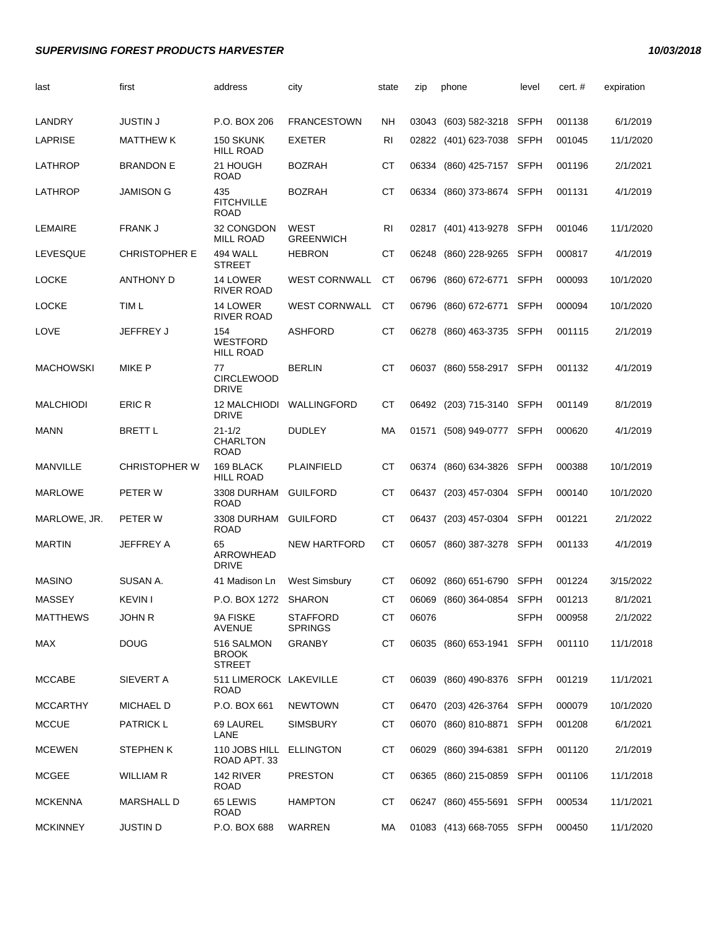| last             | first                | address                                     | city                              | state          | zip   | phone                     | level       | cert. # | expiration |
|------------------|----------------------|---------------------------------------------|-----------------------------------|----------------|-------|---------------------------|-------------|---------|------------|
| LANDRY           | JUSTIN J             | P.O. BOX 206                                | <b>FRANCESTOWN</b>                | NΗ             | 03043 | (603) 582-3218            | SFPH        | 001138  | 6/1/2019   |
| <b>LAPRISE</b>   | <b>MATTHEW K</b>     | 150 SKUNK<br><b>HILL ROAD</b>               | <b>EXETER</b>                     | RI             |       | 02822 (401) 623-7038      | <b>SFPH</b> | 001045  | 11/1/2020  |
| <b>LATHROP</b>   | <b>BRANDON E</b>     | 21 HOUGH<br><b>ROAD</b>                     | <b>BOZRAH</b>                     | СT             |       | 06334 (860) 425-7157 SFPH |             | 001196  | 2/1/2021   |
| LATHROP          | JAMISON G            | 435<br><b>FITCHVILLE</b><br><b>ROAD</b>     | <b>BOZRAH</b>                     | <b>CT</b>      |       | 06334 (860) 373-8674 SFPH |             | 001131  | 4/1/2019   |
| LEMAIRE          | <b>FRANK J</b>       | 32 CONGDON<br><b>MILL ROAD</b>              | WEST<br><b>GREENWICH</b>          | R <sub>1</sub> |       | 02817 (401) 413-9278      | SFPH        | 001046  | 11/1/2020  |
| <b>LEVESQUE</b>  | <b>CHRISTOPHER E</b> | 494 WALL<br><b>STREET</b>                   | <b>HEBRON</b>                     | СT             | 06248 | (860) 228-9265            | <b>SFPH</b> | 000817  | 4/1/2019   |
| <b>LOCKE</b>     | <b>ANTHONY D</b>     | 14 LOWER<br>RIVER ROAD                      | <b>WEST CORNWALL</b>              | СT             | 06796 | (860) 672-6771            | <b>SFPH</b> | 000093  | 10/1/2020  |
| <b>LOCKE</b>     | TIM L                | 14 LOWER<br><b>RIVER ROAD</b>               | <b>WEST CORNWALL</b>              | СT             | 06796 | (860) 672-6771            | <b>SFPH</b> | 000094  | 10/1/2020  |
| LOVE             | JEFFREY J            | 154<br>WESTFORD<br><b>HILL ROAD</b>         | <b>ASHFORD</b>                    | СT             |       | 06278 (860) 463-3735 SFPH |             | 001115  | 2/1/2019   |
| <b>MACHOWSKI</b> | MIKE P               | 77<br><b>CIRCLEWOOD</b><br><b>DRIVE</b>     | <b>BERLIN</b>                     | <b>CT</b>      | 06037 | (860) 558-2917 SFPH       |             | 001132  | 4/1/2019   |
| <b>MALCHIODI</b> | ERIC R               | <b>12 MALCHIODI</b><br><b>DRIVE</b>         | WALLINGFORD                       | СT             | 06492 | (203) 715-3140            | SFPH        | 001149  | 8/1/2019   |
| <b>MANN</b>      | BRETT L              | $21 - 1/2$<br>CHARLTON<br><b>ROAD</b>       | <b>DUDLEY</b>                     | МA             |       | 01571 (508) 949-0777 SFPH |             | 000620  | 4/1/2019   |
| <b>MANVILLE</b>  | <b>CHRISTOPHER W</b> | 169 BLACK<br><b>HILL ROAD</b>               | <b>PLAINFIELD</b>                 | СT             | 06374 | (860) 634-3826 SFPH       |             | 000388  | 10/1/2019  |
| <b>MARLOWE</b>   | PETER W              | 3308 DURHAM<br>ROAD                         | <b>GUILFORD</b>                   | СT             |       | 06437 (203) 457-0304      | <b>SFPH</b> | 000140  | 10/1/2020  |
| MARLOWE, JR.     | PETER W              | 3308 DURHAM<br><b>ROAD</b>                  | <b>GUILFORD</b>                   | СT             |       | 06437 (203) 457-0304      | SFPH        | 001221  | 2/1/2022   |
| <b>MARTIN</b>    | JEFFREY A            | 65<br>ARROWHEAD<br><b>DRIVE</b>             | <b>NEW HARTFORD</b>               | <b>CT</b>      | 06057 | (860) 387-3278            | SFPH        | 001133  | 4/1/2019   |
| <b>MASINO</b>    | SUSAN A.             | 41 Madison Ln                               | <b>West Simsbury</b>              | CТ             | 06092 | (860) 651-6790            | SFPH        | 001224  | 3/15/2022  |
| <b>MASSEY</b>    | <b>KEVIN I</b>       | P.O. BOX 1272 SHARON                        |                                   | СT             | 06069 | (860) 364-0854            | SFPH        | 001213  | 8/1/2021   |
| <b>MATTHEWS</b>  | JOHN R               | 9A FISKE<br>AVENUE                          | <b>STAFFORD</b><br><b>SPRINGS</b> | СT             | 06076 |                           | <b>SFPH</b> | 000958  | 2/1/2022   |
| <b>MAX</b>       | <b>DOUG</b>          | 516 SALMON<br><b>BROOK</b><br><b>STREET</b> | <b>GRANBY</b>                     | <b>CT</b>      |       | 06035 (860) 653-1941 SFPH |             | 001110  | 11/1/2018  |
| <b>MCCABE</b>    | SIEVERT A            | 511 LIMEROCK LAKEVILLE<br><b>ROAD</b>       |                                   | СT             |       | 06039 (860) 490-8376 SFPH |             | 001219  | 11/1/2021  |
| <b>MCCARTHY</b>  | <b>MICHAEL D</b>     | P.O. BOX 661                                | <b>NEWTOWN</b>                    | СT             |       | 06470 (203) 426-3764 SFPH |             | 000079  | 10/1/2020  |
| <b>MCCUE</b>     | <b>PATRICK L</b>     | 69 LAUREL<br>LANE                           | <b>SIMSBURY</b>                   | CT             |       | 06070 (860) 810-8871 SFPH |             | 001208  | 6/1/2021   |
| <b>MCEWEN</b>    | <b>STEPHENK</b>      | 110 JOBS HILL<br>ROAD APT. 33               | <b>ELLINGTON</b>                  | СT             | 06029 | (860) 394-6381 SFPH       |             | 001120  | 2/1/2019   |
| <b>MCGEE</b>     | <b>WILLIAM R</b>     | 142 RIVER<br><b>ROAD</b>                    | <b>PRESTON</b>                    | СT             |       | 06365 (860) 215-0859 SFPH |             | 001106  | 11/1/2018  |
| <b>MCKENNA</b>   | MARSHALL D           | 65 LEWIS<br><b>ROAD</b>                     | <b>HAMPTON</b>                    | СT             |       | 06247 (860) 455-5691 SFPH |             | 000534  | 11/1/2021  |
| <b>MCKINNEY</b>  | <b>JUSTIN D</b>      | P.O. BOX 688                                | <b>WARREN</b>                     | MA             |       | 01083 (413) 668-7055 SFPH |             | 000450  | 11/1/2020  |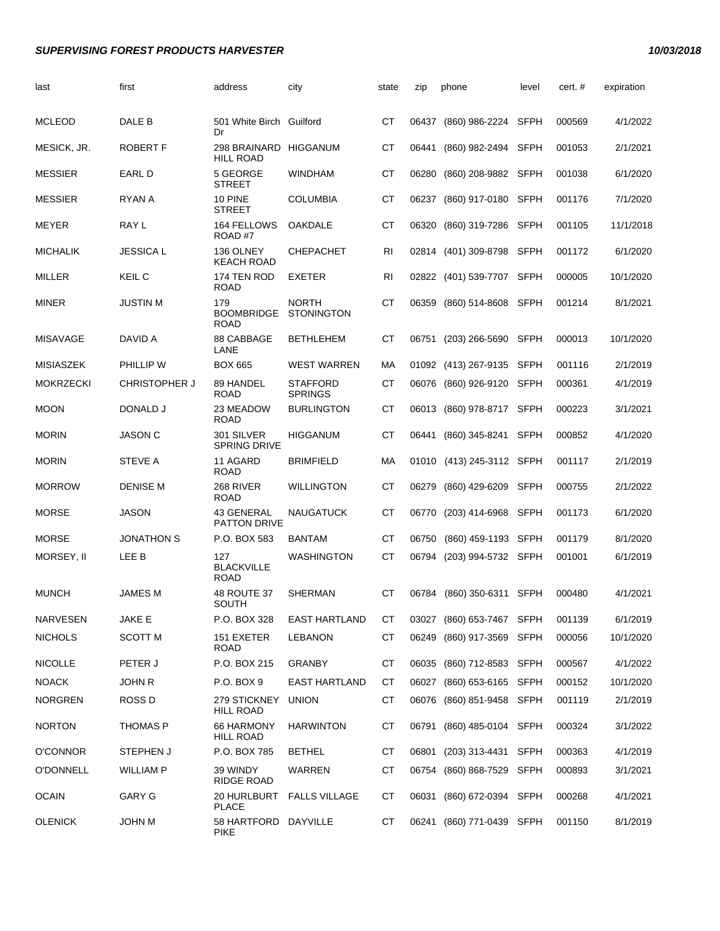| last             | first                | address                                 | city                              | state     | zip   | phone                     | level       | cert.# | expiration |
|------------------|----------------------|-----------------------------------------|-----------------------------------|-----------|-------|---------------------------|-------------|--------|------------|
| <b>MCLEOD</b>    | DALE B               | 501 White Birch Guilford<br>Dr          |                                   | СT        | 06437 | (860) 986-2224            | <b>SFPH</b> | 000569 | 4/1/2022   |
| MESICK, JR.      | <b>ROBERT F</b>      | 298 BRAINARD<br><b>HILL ROAD</b>        | <b>HIGGANUM</b>                   | СT        | 06441 | (860) 982-2494            | <b>SFPH</b> | 001053 | 2/1/2021   |
| <b>MESSIER</b>   | EARL D               | 5 GEORGE<br><b>STREET</b>               | <b>WINDHAM</b>                    | <b>CT</b> | 06280 | (860) 208-9882            | <b>SFPH</b> | 001038 | 6/1/2020   |
| <b>MESSIER</b>   | RYAN A               | 10 PINE<br><b>STREET</b>                | <b>COLUMBIA</b>                   | <b>CT</b> | 06237 | (860) 917-0180            | <b>SFPH</b> | 001176 | 7/1/2020   |
| <b>MEYER</b>     | <b>RAYL</b>          | 164 FELLOWS<br>ROAD #7                  | <b>OAKDALE</b>                    | CТ        | 06320 | (860) 319-7286            | <b>SFPH</b> | 001105 | 11/1/2018  |
| <b>MICHALIK</b>  | <b>JESSICA L</b>     | 136 OLNEY<br><b>KEACH ROAD</b>          | <b>CHEPACHET</b>                  | RI        |       | 02814 (401) 309-8798      | <b>SFPH</b> | 001172 | 6/1/2020   |
| <b>MILLER</b>    | KEIL C               | 174 TEN ROD<br>ROAD                     | <b>EXETER</b>                     | RI        |       | 02822 (401) 539-7707      | <b>SFPH</b> | 000005 | 10/1/2020  |
| <b>MINER</b>     | <b>JUSTIN M</b>      | 179<br><b>BOOMBRIDGE</b><br><b>ROAD</b> | <b>NORTH</b><br><b>STONINGTON</b> | СT        | 06359 | (860) 514-8608            | <b>SFPH</b> | 001214 | 8/1/2021   |
| <b>MISAVAGE</b>  | DAVID A              | 88 CABBAGE<br>LANE                      | <b>BETHLEHEM</b>                  | СT        | 06751 | (203) 266-5690            | <b>SFPH</b> | 000013 | 10/1/2020  |
| <b>MISIASZEK</b> | PHILLIP W            | <b>BOX 665</b>                          | <b>WEST WARREN</b>                | МA        |       | 01092 (413) 267-9135      | <b>SFPH</b> | 001116 | 2/1/2019   |
| <b>MOKRZECKI</b> | <b>CHRISTOPHER J</b> | 89 HANDEL<br><b>ROAD</b>                | <b>STAFFORD</b><br><b>SPRINGS</b> | <b>CT</b> | 06076 | (860) 926-9120            | <b>SFPH</b> | 000361 | 4/1/2019   |
| <b>MOON</b>      | DONALD J             | 23 MEADOW<br><b>ROAD</b>                | <b>BURLINGTON</b>                 | СT        | 06013 | (860) 978-8717            | <b>SFPH</b> | 000223 | 3/1/2021   |
| <b>MORIN</b>     | <b>JASON C</b>       | 301 SILVER<br><b>SPRING DRIVE</b>       | <b>HIGGANUM</b>                   | СT        | 06441 | (860) 345-8241            | <b>SFPH</b> | 000852 | 4/1/2020   |
| <b>MORIN</b>     | <b>STEVE A</b>       | 11 AGARD<br><b>ROAD</b>                 | <b>BRIMFIELD</b>                  | МA        | 01010 | (413) 245-3112 SFPH       |             | 001117 | 2/1/2019   |
| <b>MORROW</b>    | <b>DENISE M</b>      | 268 RIVER<br><b>ROAD</b>                | <b>WILLINGTON</b>                 | CT.       | 06279 | (860) 429-6209            | <b>SFPH</b> | 000755 | 2/1/2022   |
| <b>MORSE</b>     | <b>JASON</b>         | 43 GENERAL<br><b>PATTON DRIVE</b>       | <b>NAUGATUCK</b>                  | СT        | 06770 | (203) 414-6968            | <b>SFPH</b> | 001173 | 6/1/2020   |
| <b>MORSE</b>     | <b>JONATHON S</b>    | P.O. BOX 583                            | <b>BANTAM</b>                     | СT        | 06750 | (860) 459-1193            | <b>SFPH</b> | 001179 | 8/1/2020   |
| MORSEY, II       | LEE B                | 127<br><b>BLACKVILLE</b><br><b>ROAD</b> | <b>WASHINGTON</b>                 | СT        | 06794 | (203) 994-5732            | <b>SFPH</b> | 001001 | 6/1/2019   |
| <b>MUNCH</b>     | <b>JAMES M</b>       | <b>48 ROUTE 37</b><br><b>SOUTH</b>      | <b>SHERMAN</b>                    | CT.       | 06784 | (860) 350-6311            | <b>SFPH</b> | 000480 | 4/1/2021   |
| <b>NARVESEN</b>  | JAKE E               | P.O. BOX 328                            | <b>EAST HARTLAND</b>              | СT        |       | 03027 (860) 653-7467 SFPH |             | 001139 | 6/1/2019   |
| <b>NICHOLS</b>   | <b>SCOTT M</b>       | 151 EXETER<br><b>ROAD</b>               | <b>LEBANON</b>                    | СT        |       | 06249 (860) 917-3569 SFPH |             | 000056 | 10/1/2020  |
| <b>NICOLLE</b>   | PETER J              | P.O. BOX 215                            | <b>GRANBY</b>                     | СT        |       | 06035 (860) 712-8583 SFPH |             | 000567 | 4/1/2022   |
| <b>NOACK</b>     | <b>JOHN R</b>        | P.O. BOX 9                              | <b>EAST HARTLAND</b>              | CT        |       | 06027 (860) 653-6165 SFPH |             | 000152 | 10/1/2020  |
| <b>NORGREN</b>   | ROSS <sub>D</sub>    | 279 STICKNEY<br><b>HILL ROAD</b>        | <b>UNION</b>                      | СT        |       | 06076 (860) 851-9458 SFPH |             | 001119 | 2/1/2019   |
| <b>NORTON</b>    | <b>THOMAS P</b>      | 66 HARMONY<br><b>HILL ROAD</b>          | <b>HARWINTON</b>                  | СT        |       | 06791 (860) 485-0104 SFPH |             | 000324 | 3/1/2022   |
| <b>O'CONNOR</b>  | STEPHEN J            | P.O. BOX 785                            | <b>BETHEL</b>                     | СT        |       | 06801 (203) 313-4431 SFPH |             | 000363 | 4/1/2019   |
| <b>O'DONNELL</b> | <b>WILLIAM P</b>     | 39 WINDY<br><b>RIDGE ROAD</b>           | WARREN                            | СT        |       | 06754 (860) 868-7529 SFPH |             | 000893 | 3/1/2021   |
| <b>OCAIN</b>     | <b>GARY G</b>        | 20 HURLBURT<br><b>PLACE</b>             | <b>FALLS VILLAGE</b>              | CT        |       | 06031 (860) 672-0394 SFPH |             | 000268 | 4/1/2021   |
| <b>OLENICK</b>   | <b>JOHN M</b>        | 58 HARTFORD DAYVILLE<br><b>PIKE</b>     |                                   | <b>CT</b> |       | 06241 (860) 771-0439 SFPH |             | 001150 | 8/1/2019   |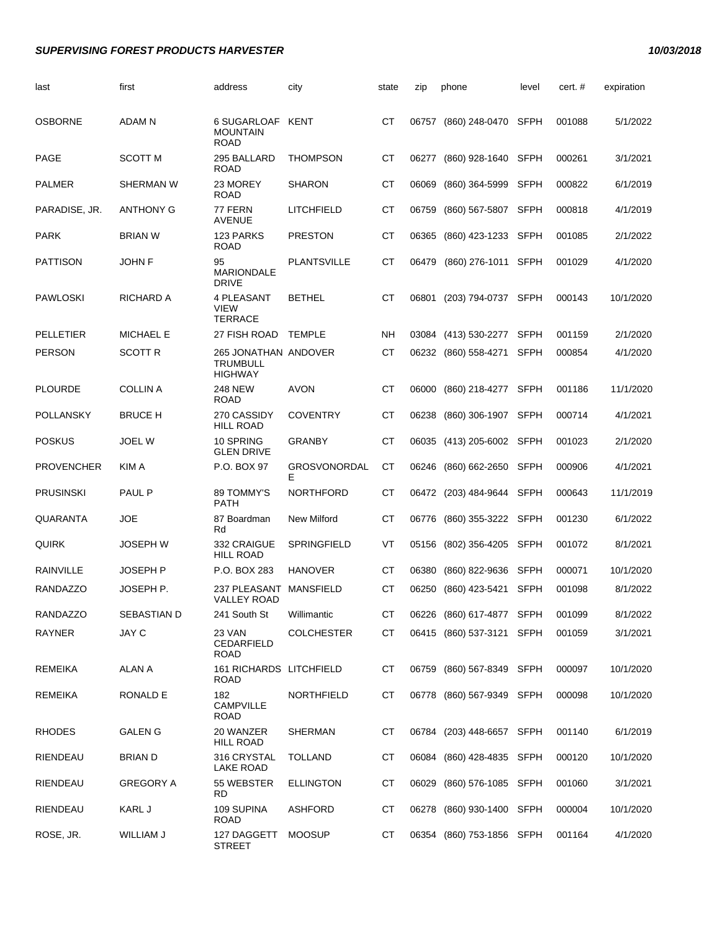| last              | first            | address                                                   | city                     | state     | zip   | phone                     | level       | cert.# | expiration |
|-------------------|------------------|-----------------------------------------------------------|--------------------------|-----------|-------|---------------------------|-------------|--------|------------|
| <b>OSBORNE</b>    | ADAM N           | 6 SUGARLOAF KENT<br><b>MOUNTAIN</b><br><b>ROAD</b>        |                          | <b>CT</b> | 06757 | (860) 248-0470 SFPH       |             | 001088 | 5/1/2022   |
| <b>PAGE</b>       | <b>SCOTT M</b>   | 295 BALLARD<br><b>ROAD</b>                                | <b>THOMPSON</b>          | СT        | 06277 | (860) 928-1640            | <b>SFPH</b> | 000261 | 3/1/2021   |
| <b>PALMER</b>     | <b>SHERMAN W</b> | 23 MOREY<br><b>ROAD</b>                                   | <b>SHARON</b>            | <b>CT</b> | 06069 | (860) 364-5999            | <b>SFPH</b> | 000822 | 6/1/2019   |
| PARADISE, JR.     | <b>ANTHONY G</b> | 77 FERN<br><b>AVENUE</b>                                  | <b>LITCHFIELD</b>        | СT        | 06759 | (860) 567-5807            | SFPH        | 000818 | 4/1/2019   |
| <b>PARK</b>       | <b>BRIAN W</b>   | 123 PARKS<br><b>ROAD</b>                                  | <b>PRESTON</b>           | <b>CT</b> | 06365 | (860) 423-1233            | SFPH        | 001085 | 2/1/2022   |
| <b>PATTISON</b>   | <b>JOHN F</b>    | 95<br><b>MARIONDALE</b><br><b>DRIVE</b>                   | <b>PLANTSVILLE</b>       | <b>CT</b> | 06479 | (860) 276-1011 SFPH       |             | 001029 | 4/1/2020   |
| <b>PAWLOSKI</b>   | RICHARD A        | 4 PLEASANT<br><b>VIEW</b><br><b>TERRACE</b>               | <b>BETHEL</b>            | <b>CT</b> | 06801 | (203) 794-0737 SFPH       |             | 000143 | 10/1/2020  |
| <b>PELLETIER</b>  | <b>MICHAEL E</b> | 27 FISH ROAD                                              | <b>TEMPLE</b>            | <b>NH</b> |       | 03084 (413) 530-2277      | <b>SFPH</b> | 001159 | 2/1/2020   |
| <b>PERSON</b>     | <b>SCOTT R</b>   | 265 JONATHAN ANDOVER<br><b>TRUMBULL</b><br><b>HIGHWAY</b> |                          | <b>CT</b> |       | 06232 (860) 558-4271      | <b>SFPH</b> | 000854 | 4/1/2020   |
| <b>PLOURDE</b>    | <b>COLLIN A</b>  | <b>248 NEW</b><br><b>ROAD</b>                             | <b>AVON</b>              | СT        | 06000 | (860) 218-4277 SFPH       |             | 001186 | 11/1/2020  |
| <b>POLLANSKY</b>  | <b>BRUCE H</b>   | 270 CASSIDY<br><b>HILL ROAD</b>                           | <b>COVENTRY</b>          | <b>CT</b> | 06238 | (860) 306-1907            | SFPH        | 000714 | 4/1/2021   |
| <b>POSKUS</b>     | <b>JOEL W</b>    | 10 SPRING<br><b>GLEN DRIVE</b>                            | <b>GRANBY</b>            | <b>CT</b> | 06035 | (413) 205-6002            | SFPH        | 001023 | 2/1/2020   |
| <b>PROVENCHER</b> | KIM A            | P.O. BOX 97                                               | <b>GROSVONORDAL</b><br>Е | CT.       | 06246 | (860) 662-2650            | SFPH        | 000906 | 4/1/2021   |
| <b>PRUSINSKI</b>  | PAUL P           | 89 TOMMY'S<br><b>PATH</b>                                 | <b>NORTHFORD</b>         | СT        | 06472 | (203) 484-9644            | <b>SFPH</b> | 000643 | 11/1/2019  |
| QUARANTA          | <b>JOE</b>       | 87 Boardman<br>Rd                                         | <b>New Milford</b>       | <b>CT</b> | 06776 | (860) 355-3222            | <b>SFPH</b> | 001230 | 6/1/2022   |
| <b>QUIRK</b>      | <b>JOSEPH W</b>  | 332 CRAIGUE<br><b>HILL ROAD</b>                           | <b>SPRINGFIELD</b>       | VT        | 05156 | (802) 356-4205            | SFPH        | 001072 | 8/1/2021   |
| <b>RAINVILLE</b>  | <b>JOSEPH P</b>  | P.O. BOX 283                                              | <b>HANOVER</b>           | CT.       | 06380 | (860) 822-9636            | <b>SFPH</b> | 000071 | 10/1/2020  |
| <b>RANDAZZO</b>   | JOSEPH P.        | 237 PLEASANT<br><b>VALLEY ROAD</b>                        | <b>MANSFIELD</b>         | СT        | 06250 | (860) 423-5421            | <b>SFPH</b> | 001098 | 8/1/2022   |
| <b>RANDAZZO</b>   | SEBASTIAN D      | 241 South St                                              | Willimantic              | СT        |       | 06226 (860) 617-4877 SFPH |             | 001099 | 8/1/2022   |
| <b>RAYNER</b>     | JAY C            | 23 VAN<br>CEDARFIELD<br>ROAD                              | <b>COLCHESTER</b>        | СT        |       | 06415 (860) 537-3121 SFPH |             | 001059 | 3/1/2021   |
| <b>REMEIKA</b>    | ALAN A           | 161 RICHARDS LITCHFIELD<br><b>ROAD</b>                    |                          | СT        |       | 06759 (860) 567-8349 SFPH |             | 000097 | 10/1/2020  |
| <b>REMEIKA</b>    | RONALD E         | 182<br><b>CAMPVILLE</b><br><b>ROAD</b>                    | <b>NORTHFIELD</b>        | СT        |       | 06778 (860) 567-9349 SFPH |             | 000098 | 10/1/2020  |
| <b>RHODES</b>     | <b>GALEN G</b>   | 20 WANZER<br><b>HILL ROAD</b>                             | <b>SHERMAN</b>           | СT        |       | 06784 (203) 448-6657 SFPH |             | 001140 | 6/1/2019   |
| RIENDEAU          | <b>BRIAN D</b>   | 316 CRYSTAL<br>LAKE ROAD                                  | <b>TOLLAND</b>           | СT        |       | 06084 (860) 428-4835 SFPH |             | 000120 | 10/1/2020  |
| RIENDEAU          | <b>GREGORY A</b> | 55 WEBSTER<br>RD.                                         | <b>ELLINGTON</b>         | СT        |       | 06029 (860) 576-1085 SFPH |             | 001060 | 3/1/2021   |
| RIENDEAU          | KARL J           | 109 SUPINA<br>ROAD                                        | ASHFORD                  | СT        |       | 06278 (860) 930-1400 SFPH |             | 000004 | 10/1/2020  |
| ROSE, JR.         | WILLIAM J        | 127 DAGGETT<br><b>STREET</b>                              | <b>MOOSUP</b>            | СT        |       | 06354 (860) 753-1856 SFPH |             | 001164 | 4/1/2020   |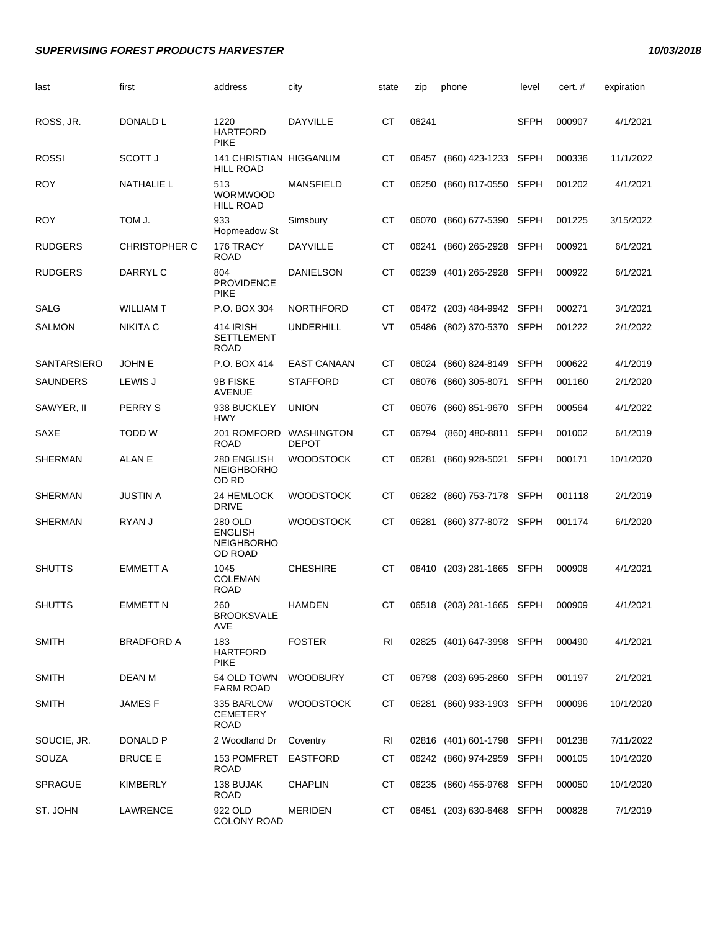| last           | first                | address                                                          | city                              | state     | zip   | phone                     | level       | cert. # | expiration |
|----------------|----------------------|------------------------------------------------------------------|-----------------------------------|-----------|-------|---------------------------|-------------|---------|------------|
| ROSS, JR.      | DONALD L             | 1220<br><b>HARTFORD</b><br><b>PIKE</b>                           | <b>DAYVILLE</b>                   | <b>CT</b> | 06241 |                           | SFPH        | 000907  | 4/1/2021   |
| ROSSI          | <b>SCOTT J</b>       | <b>141 CHRISTIAN HIGGANUM</b><br><b>HILL ROAD</b>                |                                   | СT        | 06457 | (860) 423-1233            | SFPH        | 000336  | 11/1/2022  |
| ROY            | <b>NATHALIE L</b>    | 513<br><b>WORMWOOD</b><br><b>HILL ROAD</b>                       | MANSFIELD                         | СT        | 06250 | (860) 817-0550            | SFPH        | 001202  | 4/1/2021   |
| ROY            | TOM J.               | 933<br>Hopmeadow St                                              | Simsbury                          | СT        | 06070 | (860) 677-5390 SFPH       |             | 001225  | 3/15/2022  |
| <b>RUDGERS</b> | <b>CHRISTOPHER C</b> | 176 TRACY<br><b>ROAD</b>                                         | <b>DAYVILLE</b>                   | СT        | 06241 | (860) 265-2928            | <b>SFPH</b> | 000921  | 6/1/2021   |
| <b>RUDGERS</b> | DARRYL C             | 804<br><b>PROVIDENCE</b><br><b>PIKE</b>                          | <b>DANIELSON</b>                  | СT        | 06239 | (401) 265-2928            | SFPH        | 000922  | 6/1/2021   |
| SALG           | <b>WILLIAM T</b>     | P.O. BOX 304                                                     | <b>NORTHFORD</b>                  | СT        |       | 06472 (203) 484-9942 SFPH |             | 000271  | 3/1/2021   |
| SALMON         | <b>NIKITA C</b>      | 414 IRISH<br><b>SETTLEMENT</b><br><b>ROAD</b>                    | <b>UNDERHILL</b>                  | VT        | 05486 | (802) 370-5370 SFPH       |             | 001222  | 2/1/2022   |
| SANTARSIERO    | <b>JOHN E</b>        | P.O. BOX 414                                                     | <b>EAST CANAAN</b>                | СT        |       | 06024 (860) 824-8149      | <b>SFPH</b> | 000622  | 4/1/2019   |
| SAUNDERS       | LEWIS J              | 9B FISKE<br><b>AVENUE</b>                                        | <b>STAFFORD</b>                   | СT        | 06076 | (860) 305-8071            | <b>SFPH</b> | 001160  | 2/1/2020   |
| SAWYER, II     | PERRY S              | 938 BUCKLEY<br><b>HWY</b>                                        | <b>UNION</b>                      | СT        | 06076 | (860) 851-9670            | <b>SFPH</b> | 000564  | 4/1/2022   |
| SAXE           | TODD W               | 201 ROMFORD<br><b>ROAD</b>                                       | <b>WASHINGTON</b><br><b>DEPOT</b> | СT        | 06794 | (860) 480-8811            | <b>SFPH</b> | 001002  | 6/1/2019   |
| SHERMAN        | ALAN E               | 280 ENGLISH<br><b>NEIGHBORHO</b><br>OD RD                        | <b>WOODSTOCK</b>                  | СT        | 06281 | (860) 928-5021            | SFPH        | 000171  | 10/1/2020  |
| SHERMAN        | <b>JUSTIN A</b>      | 24 HEMLOCK<br><b>DRIVE</b>                                       | <b>WOODSTOCK</b>                  | <b>CT</b> | 06282 | (860) 753-7178 SFPH       |             | 001118  | 2/1/2019   |
| SHERMAN        | RYAN J               | 280 OLD<br><b>ENGLISH</b><br><b>NEIGHBORHO</b><br><b>OD ROAD</b> | <b>WOODSTOCK</b>                  | СT        | 06281 | (860) 377-8072 SFPH       |             | 001174  | 6/1/2020   |
| <b>SHUTTS</b>  | <b>EMMETT A</b>      | 1045<br><b>COLEMAN</b><br><b>ROAD</b>                            | <b>CHESHIRE</b>                   | СT        |       | 06410 (203) 281-1665 SFPH |             | 000908  | 4/1/2021   |
| <b>SHUTTS</b>  | <b>EMMETT N</b>      | 260<br><b>BROOKSVALE</b><br>AVE                                  | <b>HAMDEN</b>                     | СT        |       | 06518 (203) 281-1665 SFPH |             | 000909  | 4/1/2021   |
| <b>SMITH</b>   | <b>BRADFORD A</b>    | 183<br><b>HARTFORD</b><br><b>PIKE</b>                            | <b>FOSTER</b>                     | <b>RI</b> |       | 02825 (401) 647-3998 SFPH |             | 000490  | 4/1/2021   |
| <b>SMITH</b>   | <b>DEAN M</b>        | 54 OLD TOWN<br><b>FARM ROAD</b>                                  | <b>WOODBURY</b>                   | СT        |       | 06798 (203) 695-2860 SFPH |             | 001197  | 2/1/2021   |
| <b>SMITH</b>   | <b>JAMESF</b>        | 335 BARLOW<br><b>CEMETERY</b><br><b>ROAD</b>                     | <b>WOODSTOCK</b>                  | СT        |       | 06281 (860) 933-1903 SFPH |             | 000096  | 10/1/2020  |
| SOUCIE, JR.    | DONALD P             | 2 Woodland Dr                                                    | Coventry                          | RI        |       | 02816 (401) 601-1798 SFPH |             | 001238  | 7/11/2022  |
| SOUZA          | <b>BRUCE E</b>       | 153 POMFRET<br><b>ROAD</b>                                       | <b>EASTFORD</b>                   | СT        |       | 06242 (860) 974-2959      | SFPH        | 000105  | 10/1/2020  |
| SPRAGUE        | KIMBERLY             | 138 BUJAK<br><b>ROAD</b>                                         | <b>CHAPLIN</b>                    | СT        |       | 06235 (860) 455-9768 SFPH |             | 000050  | 10/1/2020  |
| ST. JOHN       | LAWRENCE             | 922 OLD<br><b>COLONY ROAD</b>                                    | <b>MERIDEN</b>                    | СT        |       | 06451 (203) 630-6468 SFPH |             | 000828  | 7/1/2019   |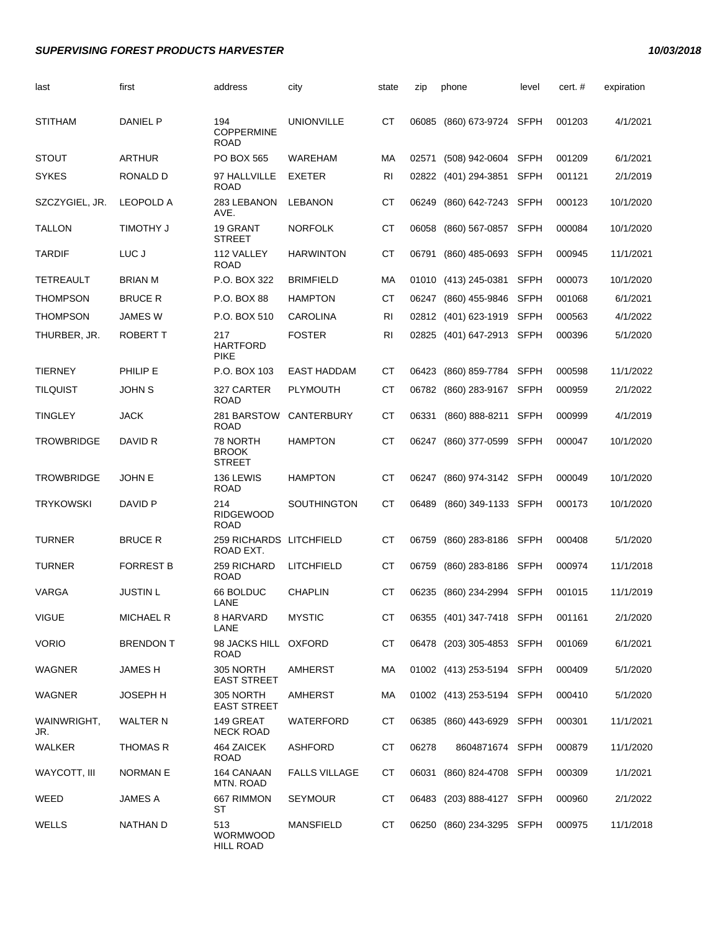| last               | first            | address                                    | city                 | state          | zip   | phone                     | level       | cert.# | expiration |
|--------------------|------------------|--------------------------------------------|----------------------|----------------|-------|---------------------------|-------------|--------|------------|
| <b>STITHAM</b>     | DANIEL P         | 194<br><b>COPPERMINE</b><br><b>ROAD</b>    | <b>UNIONVILLE</b>    | <b>CT</b>      | 06085 | (860) 673-9724 SFPH       |             | 001203 | 4/1/2021   |
| <b>STOUT</b>       | <b>ARTHUR</b>    | <b>PO BOX 565</b>                          | WAREHAM              | МA             | 02571 | (508) 942-0604            | <b>SFPH</b> | 001209 | 6/1/2021   |
| <b>SYKES</b>       | RONALD D         | 97 HALLVILLE<br><b>ROAD</b>                | <b>EXETER</b>        | RI             |       | 02822 (401) 294-3851      | <b>SFPH</b> | 001121 | 2/1/2019   |
| SZCZYGIEL, JR.     | <b>LEOPOLD A</b> | 283 LEBANON<br>AVE.                        | <b>LEBANON</b>       | CТ             | 06249 | (860) 642-7243            | <b>SFPH</b> | 000123 | 10/1/2020  |
| <b>TALLON</b>      | <b>TIMOTHY J</b> | 19 GRANT<br><b>STREET</b>                  | <b>NORFOLK</b>       | <b>CT</b>      | 06058 | (860) 567-0857            | SFPH        | 000084 | 10/1/2020  |
| <b>TARDIF</b>      | LUC J            | 112 VALLEY<br><b>ROAD</b>                  | <b>HARWINTON</b>     | СT             | 06791 | (860) 485-0693            | <b>SFPH</b> | 000945 | 11/1/2021  |
| <b>TETREAULT</b>   | <b>BRIAN M</b>   | P.O. BOX 322                               | <b>BRIMFIELD</b>     | МA             |       | 01010 (413) 245-0381      | SFPH        | 000073 | 10/1/2020  |
| <b>THOMPSON</b>    | <b>BRUCE R</b>   | P.O. BOX 88                                | <b>HAMPTON</b>       | СT             |       | 06247 (860) 455-9846      | SFPH        | 001068 | 6/1/2021   |
| <b>THOMPSON</b>    | <b>JAMES W</b>   | P.O. BOX 510                               | <b>CAROLINA</b>      | <b>RI</b>      |       | 02812 (401) 623-1919      | <b>SFPH</b> | 000563 | 4/1/2022   |
| THURBER, JR.       | ROBERT T         | 217<br><b>HARTFORD</b><br><b>PIKE</b>      | <b>FOSTER</b>        | R <sub>1</sub> |       | 02825 (401) 647-2913      | SFPH        | 000396 | 5/1/2020   |
| <b>TIERNEY</b>     | PHILIP E         | P.O. BOX 103                               | <b>EAST HADDAM</b>   | СT             | 06423 | (860) 859-7784            | SFPH        | 000598 | 11/1/2022  |
| <b>TILQUIST</b>    | JOHN S           | 327 CARTER<br><b>ROAD</b>                  | <b>PLYMOUTH</b>      | <b>CT</b>      | 06782 | (860) 283-9167 SFPH       |             | 000959 | 2/1/2022   |
| <b>TINGLEY</b>     | <b>JACK</b>      | 281 BARSTOW<br><b>ROAD</b>                 | <b>CANTERBURY</b>    | CТ             | 06331 | (860) 888-8211            | <b>SFPH</b> | 000999 | 4/1/2019   |
| <b>TROWBRIDGE</b>  | DAVID R          | 78 NORTH<br><b>BROOK</b><br><b>STREET</b>  | <b>HAMPTON</b>       | <b>CT</b>      |       | 06247 (860) 377-0599      | SFPH        | 000047 | 10/1/2020  |
| <b>TROWBRIDGE</b>  | <b>JOHN E</b>    | 136 LEWIS<br>ROAD                          | <b>HAMPTON</b>       | СT             | 06247 | (860) 974-3142 SFPH       |             | 000049 | 10/1/2020  |
| <b>TRYKOWSKI</b>   | DAVID P          | 214<br><b>RIDGEWOOD</b><br><b>ROAD</b>     | SOUTHINGTON          | CТ             | 06489 | (860) 349-1133 SFPH       |             | 000173 | 10/1/2020  |
| <b>TURNER</b>      | <b>BRUCE R</b>   | 259 RICHARDS LITCHFIELD<br>ROAD EXT.       |                      | СT             | 06759 | (860) 283-8186            | <b>SFPH</b> | 000408 | 5/1/2020   |
| <b>TURNER</b>      | <b>FORREST B</b> | 259 RICHARD<br>ROAD                        | LITCHFIELD           | <b>CT</b>      | 06759 | (860) 283-8186 SFPH       |             | 000974 | 11/1/2018  |
| VARGA              | <b>JUSTIN L</b>  | 66 BOLDUC<br>LANE                          | <b>CHAPLIN</b>       | СT             | 06235 | (860) 234-2994            | <b>SFPH</b> | 001015 | 11/1/2019  |
| <b>VIGUE</b>       | <b>MICHAEL R</b> | 8 HARVARD<br>LANE                          | <b>MYSTIC</b>        | <b>CT</b>      |       | 06355 (401) 347-7418 SFPH |             | 001161 | 2/1/2020   |
| <b>VORIO</b>       | <b>BRENDON T</b> | 98 JACKS HILL OXFORD<br>ROAD               |                      | <b>CT</b>      |       | 06478 (203) 305-4853 SFPH |             | 001069 | 6/1/2021   |
| <b>WAGNER</b>      | <b>JAMESH</b>    | 305 NORTH<br><b>EAST STREET</b>            | <b>AMHERST</b>       | МA             |       | 01002 (413) 253-5194 SFPH |             | 000409 | 5/1/2020   |
| <b>WAGNER</b>      | <b>JOSEPH H</b>  | 305 NORTH<br><b>EAST STREET</b>            | AMHERST              | МA             |       | 01002 (413) 253-5194 SFPH |             | 000410 | 5/1/2020   |
| WAINWRIGHT,<br>JR. | WALTER N         | 149 GREAT<br><b>NECK ROAD</b>              | WATERFORD            | СT             |       | 06385 (860) 443-6929 SFPH |             | 000301 | 11/1/2021  |
| <b>WALKER</b>      | <b>THOMAS R</b>  | 464 ZAICEK<br>ROAD                         | <b>ASHFORD</b>       | СT             | 06278 | 8604871674 SFPH           |             | 000879 | 11/1/2020  |
| WAYCOTT, III       | <b>NORMANE</b>   | 164 CANAAN<br>MTN. ROAD                    | <b>FALLS VILLAGE</b> | CТ             |       | 06031 (860) 824-4708 SFPH |             | 000309 | 1/1/2021   |
| WEED               | JAMES A          | 667 RIMMON<br>ST                           | <b>SEYMOUR</b>       | <b>CT</b>      |       | 06483 (203) 888-4127 SFPH |             | 000960 | 2/1/2022   |
| <b>WELLS</b>       | NATHAN D         | 513<br><b>WORMWOOD</b><br><b>HILL ROAD</b> | <b>MANSFIELD</b>     | СT             |       | 06250 (860) 234-3295 SFPH |             | 000975 | 11/1/2018  |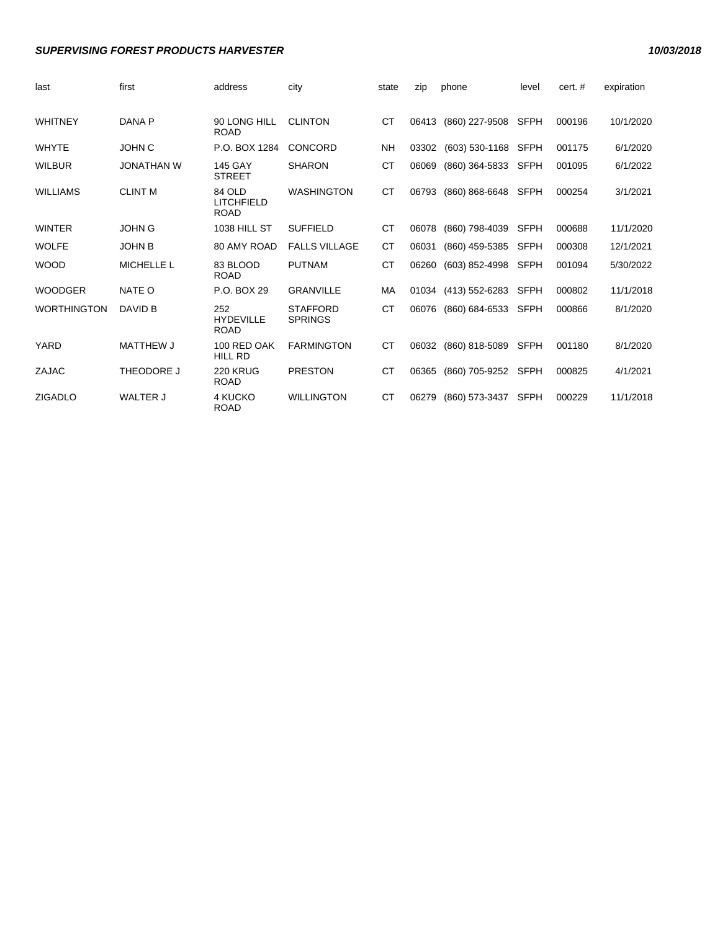| last               | first             | address                                    | city                              | state     | zip   | phone                | level       | cert.# | expiration |
|--------------------|-------------------|--------------------------------------------|-----------------------------------|-----------|-------|----------------------|-------------|--------|------------|
| <b>WHITNEY</b>     | DANA P            | 90 LONG HILL<br><b>ROAD</b>                | <b>CLINTON</b>                    | <b>CT</b> | 06413 | (860) 227-9508 SFPH  |             | 000196 | 10/1/2020  |
| <b>WHYTE</b>       | <b>JOHN C</b>     | P.O. BOX 1284                              | <b>CONCORD</b>                    | NH        | 03302 | $(603)$ 530-1168     | <b>SFPH</b> | 001175 | 6/1/2020   |
| <b>WILBUR</b>      | <b>JONATHAN W</b> | <b>145 GAY</b><br><b>STREET</b>            | <b>SHARON</b>                     | <b>CT</b> | 06069 | (860) 364-5833       | <b>SFPH</b> | 001095 | 6/1/2022   |
| <b>WILLIAMS</b>    | <b>CLINT M</b>    | 84 OLD<br><b>LITCHFIELD</b><br><b>ROAD</b> | <b>WASHINGTON</b>                 | <b>CT</b> | 06793 | (860) 868-6648       | SFPH        | 000254 | 3/1/2021   |
| <b>WINTER</b>      | <b>JOHN G</b>     | 1038 HILL ST                               | <b>SUFFIELD</b>                   | СT        | 06078 | (860) 798-4039       | <b>SFPH</b> | 000688 | 11/1/2020  |
| <b>WOLFE</b>       | <b>JOHN B</b>     | 80 AMY ROAD                                | <b>FALLS VILLAGE</b>              | СT        | 06031 | (860) 459-5385       | <b>SFPH</b> | 000308 | 12/1/2021  |
| <b>WOOD</b>        | <b>MICHELLE L</b> | 83 BLOOD<br><b>ROAD</b>                    | <b>PUTNAM</b>                     | <b>CT</b> | 06260 | (603) 852-4998       | <b>SFPH</b> | 001094 | 5/30/2022  |
| <b>WOODGER</b>     | NATE O            | P.O. BOX 29                                | <b>GRANVILLE</b>                  | MA        |       | 01034 (413) 552-6283 | <b>SFPH</b> | 000802 | 11/1/2018  |
| <b>WORTHINGTON</b> | DAVID B           | 252<br><b>HYDEVILLE</b><br><b>ROAD</b>     | <b>STAFFORD</b><br><b>SPRINGS</b> | СT        | 06076 | (860) 684-6533       | <b>SFPH</b> | 000866 | 8/1/2020   |
| YARD               | <b>MATTHEW J</b>  | 100 RED OAK<br><b>HILL RD</b>              | <b>FARMINGTON</b>                 | <b>CT</b> | 06032 | (860) 818-5089       | SFPH        | 001180 | 8/1/2020   |
| ZAJAC              | THEODORE J        | <b>220 KRUG</b><br><b>ROAD</b>             | <b>PRESTON</b>                    | <b>CT</b> | 06365 | (860) 705-9252 SFPH  |             | 000825 | 4/1/2021   |
| <b>ZIGADLO</b>     | WALTER J          | 4 KUCKO<br><b>ROAD</b>                     | <b>WILLINGTON</b>                 | CT        | 06279 | (860) 573-3437       | <b>SFPH</b> | 000229 | 11/1/2018  |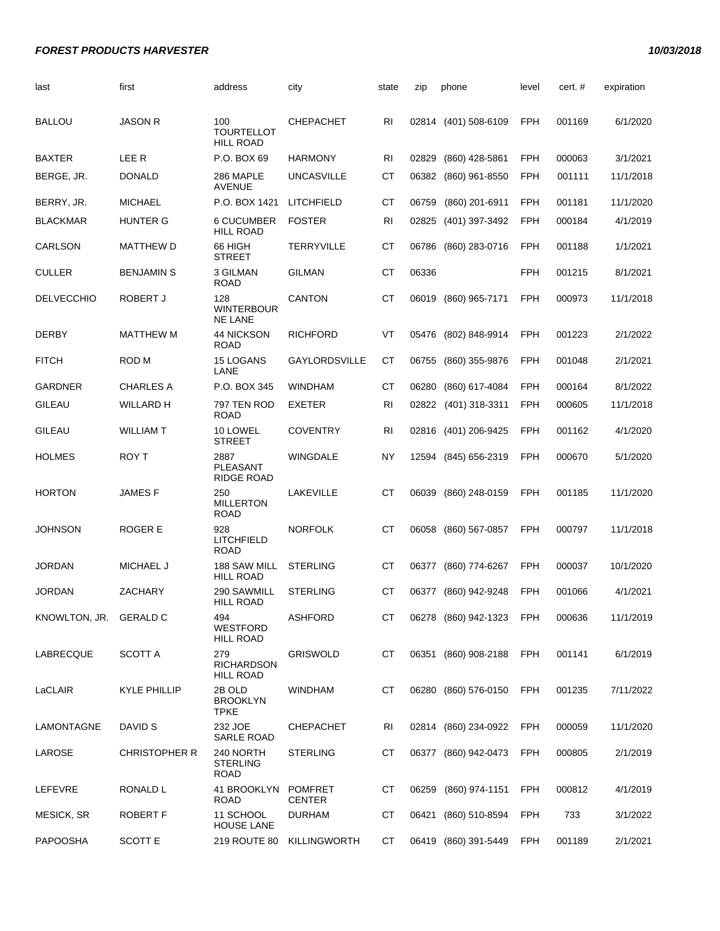#### **FOREST PRODUCTS HARVESTER 10/03/2018**

| last                   | first                | address                                      | city                            | state          | zip   | phone                    | level      | cert.# | expiration |
|------------------------|----------------------|----------------------------------------------|---------------------------------|----------------|-------|--------------------------|------------|--------|------------|
| <b>BALLOU</b>          | <b>JASON R</b>       | 100<br><b>TOURTELLOT</b><br><b>HILL ROAD</b> | <b>CHEPACHET</b>                | R <sub>l</sub> |       | 02814 (401) 508-6109     | <b>FPH</b> | 001169 | 6/1/2020   |
| <b>BAXTER</b>          | LEE R                | P.O. BOX 69                                  | <b>HARMONY</b>                  | RI             | 02829 | $(860)$ 428-5861         | <b>FPH</b> | 000063 | 3/1/2021   |
| BERGE, JR.             | <b>DONALD</b>        | 286 MAPLE<br><b>AVENUE</b>                   | <b>UNCASVILLE</b>               | <b>CT</b>      |       | 06382 (860) 961-8550     | <b>FPH</b> | 001111 | 11/1/2018  |
| BERRY, JR.             | <b>MICHAEL</b>       | P.O. BOX 1421                                | <b>LITCHFIELD</b>               | CТ             | 06759 | (860) 201-6911           | <b>FPH</b> | 001181 | 11/1/2020  |
| <b>BLACKMAR</b>        | <b>HUNTER G</b>      | 6 CUCUMBER<br><b>HILL ROAD</b>               | <b>FOSTER</b>                   | R <sub>l</sub> | 02825 | (401) 397-3492           | <b>FPH</b> | 000184 | 4/1/2019   |
| CARLSON                | MATTHEW D            | 66 HIGH<br><b>STREET</b>                     | <b>TERRYVILLE</b>               | СT             | 06786 | (860) 283-0716           | <b>FPH</b> | 001188 | 1/1/2021   |
| <b>CULLER</b>          | <b>BENJAMIN S</b>    | 3 GILMAN<br><b>ROAD</b>                      | <b>GILMAN</b>                   | СT             | 06336 |                          | <b>FPH</b> | 001215 | 8/1/2021   |
| <b>DELVECCHIO</b>      | ROBERT J             | 128<br>WINTERBOUR<br><b>NE LANE</b>          | <b>CANTON</b>                   | <b>CT</b>      | 06019 | (860) 965-7171           | <b>FPH</b> | 000973 | 11/1/2018  |
| <b>DERBY</b>           | <b>MATTHEW M</b>     | <b>44 NICKSON</b><br><b>ROAD</b>             | <b>RICHFORD</b>                 | VT             | 05476 | (802) 848-9914           | <b>FPH</b> | 001223 | 2/1/2022   |
| <b>FITCH</b>           | ROD M                | <b>15 LOGANS</b><br>LANE                     | <b>GAYLORDSVILLE</b>            | CТ             | 06755 | (860) 355-9876           | <b>FPH</b> | 001048 | 2/1/2021   |
| <b>GARDNER</b>         | <b>CHARLES A</b>     | P.O. BOX 345                                 | WINDHAM                         | СT             | 06280 | (860) 617-4084           | <b>FPH</b> | 000164 | 8/1/2022   |
| <b>GILEAU</b>          | <b>WILLARD H</b>     | 797 TEN ROD<br><b>ROAD</b>                   | <b>EXETER</b>                   | RI             | 02822 | (401) 318-3311           | <b>FPH</b> | 000605 | 11/1/2018  |
| <b>GILEAU</b>          | <b>WILLIAM T</b>     | 10 LOWEL<br><b>STREET</b>                    | <b>COVENTRY</b>                 | R <sub>l</sub> |       | 02816 (401) 206-9425     | <b>FPH</b> | 001162 | 4/1/2020   |
| <b>HOLMES</b>          | ROY T                | 2887<br>PLEASANT<br>RIDGE ROAD               | WINGDALE                        | <b>NY</b>      |       | 12594 (845) 656-2319     | <b>FPH</b> | 000670 | 5/1/2020   |
| <b>HORTON</b>          | <b>JAMESF</b>        | 250<br><b>MILLERTON</b><br><b>ROAD</b>       | LAKEVILLE                       | СT             | 06039 | $(860)$ 248-0159         | <b>FPH</b> | 001185 | 11/1/2020  |
| <b>JOHNSON</b>         | ROGER E              | 928<br>LITCHFIELD<br><b>ROAD</b>             | <b>NORFOLK</b>                  | <b>CT</b>      | 06058 | $(860)$ 567-0857         | FPH        | 000797 | 11/1/2018  |
| <b>JORDAN</b>          | <b>MICHAEL J</b>     | 188 SAW MILL<br><b>HILL ROAD</b>             | <b>STERLING</b>                 | <b>CT</b>      | 06377 | (860) 774-6267           | <b>FPH</b> | 000037 | 10/1/2020  |
| <b>JORDAN</b>          | ZACHARY              | 290 SAWMILL<br><b>HILL ROAD</b>              | <b>STERLING</b>                 | CТ             | 06377 | (860) 942-9248           | <b>FPH</b> | 001066 | 4/1/2021   |
| KNOWLTON, JR. GERALD C |                      | 494<br><b>WESTFORD</b><br>HILL ROAD          | <b>ASHFORD</b>                  | <b>CT</b>      |       | 06278 (860) 942-1323 FPH |            | 000636 | 11/1/2019  |
| LABRECQUE              | <b>SCOTT A</b>       | 279<br><b>RICHARDSON</b><br><b>HILL ROAD</b> | <b>GRISWOLD</b>                 | СT             |       | 06351 (860) 908-2188     | <b>FPH</b> | 001141 | 6/1/2019   |
| LaCLAIR                | <b>KYLE PHILLIP</b>  | 2B OLD<br><b>BROOKLYN</b><br><b>TPKE</b>     | <b>WINDHAM</b>                  | СT             |       | 06280 (860) 576-0150     | <b>FPH</b> | 001235 | 7/11/2022  |
| LAMONTAGNE             | DAVID S              | 232 JOE<br>SARLE ROAD                        | CHEPACHET                       | <b>RI</b>      |       | 02814 (860) 234-0922     | FPH        | 000059 | 11/1/2020  |
| LAROSE                 | <b>CHRISTOPHER R</b> | 240 NORTH<br><b>STERLING</b><br><b>ROAD</b>  | <b>STERLING</b>                 | <b>CT</b>      |       | 06377 (860) 942-0473     | <b>FPH</b> | 000805 | 2/1/2019   |
| LEFEVRE                | RONALD L             | 41 BROOKLYN<br>ROAD                          | <b>POMFRET</b><br><b>CENTER</b> | СT             |       | 06259 (860) 974-1151     | <b>FPH</b> | 000812 | 4/1/2019   |
| MESICK, SR             | ROBERT F             | 11 SCHOOL<br><b>HOUSE LANE</b>               | <b>DURHAM</b>                   | <b>CT</b>      |       | 06421 (860) 510-8594     | <b>FPH</b> | 733    | 3/1/2022   |
| <b>PAPOOSHA</b>        | <b>SCOTT E</b>       | 219 ROUTE 80                                 | <b>KILLINGWORTH</b>             | <b>CT</b>      |       | 06419 (860) 391-5449     | <b>FPH</b> | 001189 | 2/1/2021   |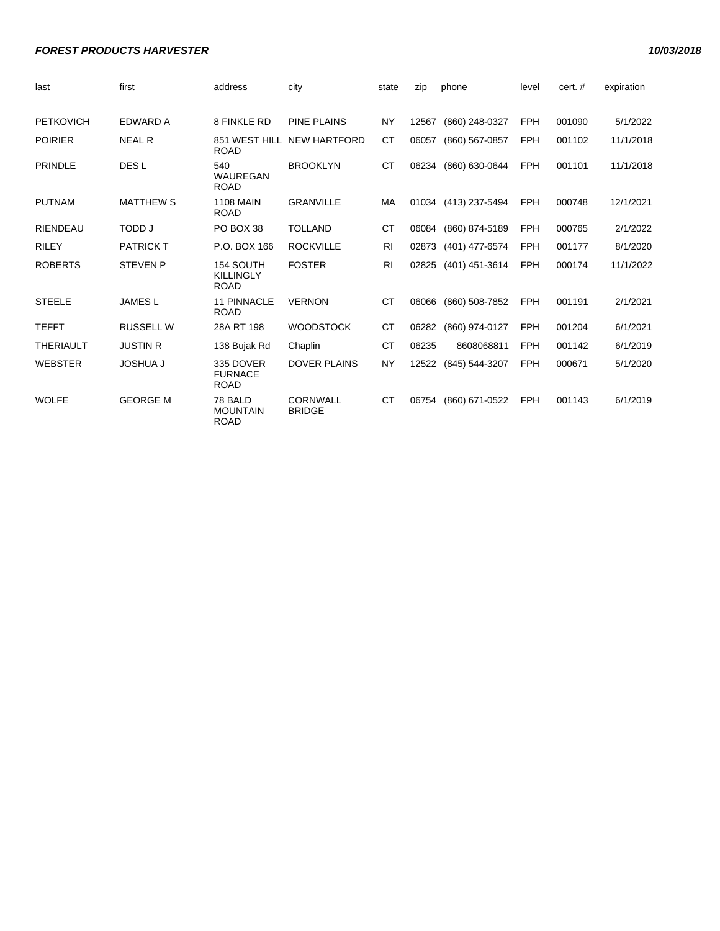#### **FOREST PRODUCTS HARVESTER 10/03/2018**

| last             | first            | address                                      | city                             | state          | zip   | phone                | level      | cert. # | expiration |
|------------------|------------------|----------------------------------------------|----------------------------------|----------------|-------|----------------------|------------|---------|------------|
| <b>PETKOVICH</b> | <b>EDWARD A</b>  | 8 FINKLE RD                                  | <b>PINE PLAINS</b>               | <b>NY</b>      | 12567 | (860) 248-0327       | <b>FPH</b> | 001090  | 5/1/2022   |
| <b>POIRIER</b>   | <b>NEAL R</b>    | 851 WEST HILL<br><b>ROAD</b>                 | <b>NEW HARTFORD</b>              | <b>CT</b>      | 06057 | (860) 567-0857       | <b>FPH</b> | 001102  | 11/1/2018  |
| <b>PRINDLE</b>   | DES <sub>L</sub> | 540<br><b>WAUREGAN</b><br><b>ROAD</b>        | <b>BROOKLYN</b>                  | <b>CT</b>      | 06234 | (860) 630-0644       | <b>FPH</b> | 001101  | 11/1/2018  |
| <b>PUTNAM</b>    | <b>MATTHEW S</b> | <b>1108 MAIN</b><br><b>ROAD</b>              | <b>GRANVILLE</b>                 | MA             |       | 01034 (413) 237-5494 | <b>FPH</b> | 000748  | 12/1/2021  |
| <b>RIENDEAU</b>  | <b>LODD</b>      | PO BOX 38                                    | <b>TOLLAND</b>                   | <b>CT</b>      | 06084 | (860) 874-5189       | <b>FPH</b> | 000765  | 2/1/2022   |
| <b>RILEY</b>     | <b>PATRICK T</b> | P.O. BOX 166                                 | <b>ROCKVILLE</b>                 | R <sub>1</sub> | 02873 | (401) 477-6574       | <b>FPH</b> | 001177  | 8/1/2020   |
| <b>ROBERTS</b>   | <b>STEVEN P</b>  | 154 SOUTH<br><b>KILLINGLY</b><br><b>ROAD</b> | <b>FOSTER</b>                    | R <sub>l</sub> |       | 02825 (401) 451-3614 | <b>FPH</b> | 000174  | 11/1/2022  |
| <b>STEELE</b>    | <b>JAMESL</b>    | <b>11 PINNACLE</b><br><b>ROAD</b>            | <b>VERNON</b>                    | <b>CT</b>      | 06066 | (860) 508-7852       | <b>FPH</b> | 001191  | 2/1/2021   |
| <b>TEFFT</b>     | <b>RUSSELL W</b> | 28A RT 198                                   | <b>WOODSTOCK</b>                 | <b>CT</b>      | 06282 | (860) 974-0127       | <b>FPH</b> | 001204  | 6/1/2021   |
| <b>THERIAULT</b> | <b>JUSTIN R</b>  | 138 Bujak Rd                                 | Chaplin                          | <b>CT</b>      | 06235 | 8608068811           | <b>FPH</b> | 001142  | 6/1/2019   |
| <b>WEBSTER</b>   | <b>JOSHUA J</b>  | 335 DOVER<br><b>FURNACE</b><br><b>ROAD</b>   | <b>DOVER PLAINS</b>              | <b>NY</b>      | 12522 | (845) 544-3207       | <b>FPH</b> | 000671  | 5/1/2020   |
| <b>WOLFE</b>     | <b>GEORGE M</b>  | 78 BALD<br><b>MOUNTAIN</b><br><b>ROAD</b>    | <b>CORNWALL</b><br><b>BRIDGE</b> | <b>CT</b>      | 06754 | (860) 671-0522       | <b>FPH</b> | 001143  | 6/1/2019   |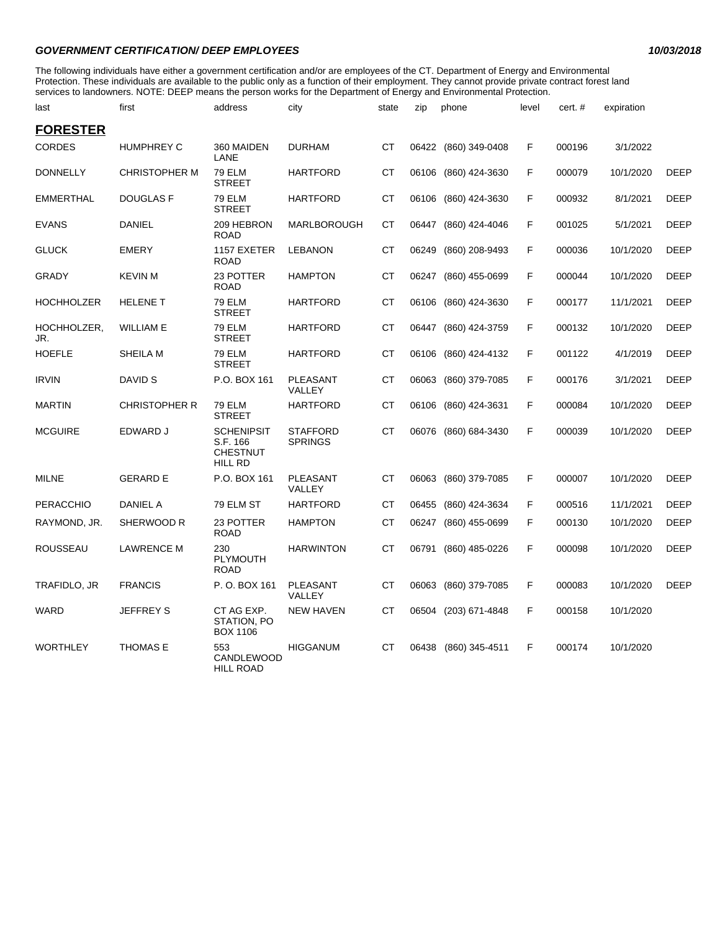#### **GOVERNMENT CERTIFICATION/ DEEP EMPLOYEES 10/03/2018**

The following individuals have either a government certification and/or are employees of the CT. Department of Energy and Environmental Protection. These individuals are available to the public only as a function of their employment. They cannot provide private contract forest land services to landowners. NOTE: DEEP means the person works for the Department of Energy and Environmental Protection.

| last               | first                | address                                                            | city                              | state     | zip   | phone          | level | cert.# | expiration |             |
|--------------------|----------------------|--------------------------------------------------------------------|-----------------------------------|-----------|-------|----------------|-------|--------|------------|-------------|
| <b>FORESTER</b>    |                      |                                                                    |                                   |           |       |                |       |        |            |             |
| <b>CORDES</b>      | HUMPHREY C           | 360 MAIDEN<br>LANE                                                 | <b>DURHAM</b>                     | СT        | 06422 | (860) 349-0408 | F     | 000196 | 3/1/2022   |             |
| <b>DONNELLY</b>    | <b>CHRISTOPHER M</b> | <b>79 ELM</b><br><b>STREET</b>                                     | <b>HARTFORD</b>                   | СT        | 06106 | (860) 424-3630 | F     | 000079 | 10/1/2020  | <b>DEEP</b> |
| <b>EMMERTHAL</b>   | <b>DOUGLAS F</b>     | <b>79 ELM</b><br><b>STREET</b>                                     | <b>HARTFORD</b>                   | СT        | 06106 | (860) 424-3630 | F     | 000932 | 8/1/2021   | <b>DEEP</b> |
| <b>EVANS</b>       | <b>DANIEL</b>        | 209 HEBRON<br><b>ROAD</b>                                          | MARLBOROUGH                       | СT        | 06447 | (860) 424-4046 | F     | 001025 | 5/1/2021   | <b>DEEP</b> |
| <b>GLUCK</b>       | <b>EMERY</b>         | 1157 EXETER<br><b>ROAD</b>                                         | <b>LEBANON</b>                    | <b>CT</b> | 06249 | (860) 208-9493 | F     | 000036 | 10/1/2020  | <b>DEEP</b> |
| <b>GRADY</b>       | <b>KEVIN M</b>       | 23 POTTER<br><b>ROAD</b>                                           | <b>HAMPTON</b>                    | СT        | 06247 | (860) 455-0699 | F     | 000044 | 10/1/2020  | <b>DEEP</b> |
| <b>HOCHHOLZER</b>  | <b>HELENE T</b>      | <b>79 ELM</b><br><b>STREET</b>                                     | <b>HARTFORD</b>                   | СT        | 06106 | (860) 424-3630 | F     | 000177 | 11/1/2021  | <b>DEEP</b> |
| HOCHHOLZER,<br>JR. | <b>WILLIAM E</b>     | <b>79 ELM</b><br><b>STREET</b>                                     | <b>HARTFORD</b>                   | <b>CT</b> | 06447 | (860) 424-3759 | F     | 000132 | 10/1/2020  | <b>DEEP</b> |
| <b>HOEFLE</b>      | SHEILA M             | <b>79 ELM</b><br><b>STREET</b>                                     | <b>HARTFORD</b>                   | <b>CT</b> | 06106 | (860) 424-4132 | F     | 001122 | 4/1/2019   | <b>DEEP</b> |
| <b>IRVIN</b>       | DAVID <sub>S</sub>   | P.O. BOX 161                                                       | PLEASANT<br>VALLEY                | <b>CT</b> | 06063 | (860) 379-7085 | F     | 000176 | 3/1/2021   | <b>DEEP</b> |
| <b>MARTIN</b>      | <b>CHRISTOPHER R</b> | <b>79 ELM</b><br><b>STREET</b>                                     | <b>HARTFORD</b>                   | СT        | 06106 | (860) 424-3631 | F     | 000084 | 10/1/2020  | <b>DEEP</b> |
| <b>MCGUIRE</b>     | EDWARD J             | <b>SCHENIPSIT</b><br>S.F. 166<br><b>CHESTNUT</b><br><b>HILL RD</b> | <b>STAFFORD</b><br><b>SPRINGS</b> | <b>CT</b> | 06076 | (860) 684-3430 | F     | 000039 | 10/1/2020  | <b>DEEP</b> |
| <b>MILNE</b>       | <b>GERARD E</b>      | P.O. BOX 161                                                       | PLEASANT<br>VALLEY                | <b>CT</b> | 06063 | (860) 379-7085 | F     | 000007 | 10/1/2020  | <b>DEEP</b> |
| <b>PERACCHIO</b>   | <b>DANIEL A</b>      | 79 ELM ST                                                          | <b>HARTFORD</b>                   | <b>CT</b> | 06455 | (860) 424-3634 | F     | 000516 | 11/1/2021  | <b>DEEP</b> |
| RAYMOND, JR.       | SHERWOOD R           | 23 POTTER<br><b>ROAD</b>                                           | <b>HAMPTON</b>                    | СT        | 06247 | (860) 455-0699 | F     | 000130 | 10/1/2020  | <b>DEEP</b> |
| <b>ROUSSEAU</b>    | <b>LAWRENCE M</b>    | 230<br><b>PLYMOUTH</b><br><b>ROAD</b>                              | <b>HARWINTON</b>                  | <b>CT</b> | 06791 | (860) 485-0226 | F     | 000098 | 10/1/2020  | <b>DEEP</b> |
| TRAFIDLO, JR       | <b>FRANCIS</b>       | P.O. BOX 161                                                       | PLEASANT<br>VALLEY                | <b>CT</b> | 06063 | (860) 379-7085 | F     | 000083 | 10/1/2020  | <b>DEEP</b> |
| WARD               | <b>JEFFREY S</b>     | CT AG EXP.<br>STATION, PO<br><b>BOX 1106</b>                       | <b>NEW HAVEN</b>                  | СT        | 06504 | (203) 671-4848 | F     | 000158 | 10/1/2020  |             |
| <b>WORTHLEY</b>    | <b>THOMAS E</b>      | 553<br><b>CANDLEWOOD</b><br><b>HILL ROAD</b>                       | <b>HIGGANUM</b>                   | СT        | 06438 | (860) 345-4511 | F     | 000174 | 10/1/2020  |             |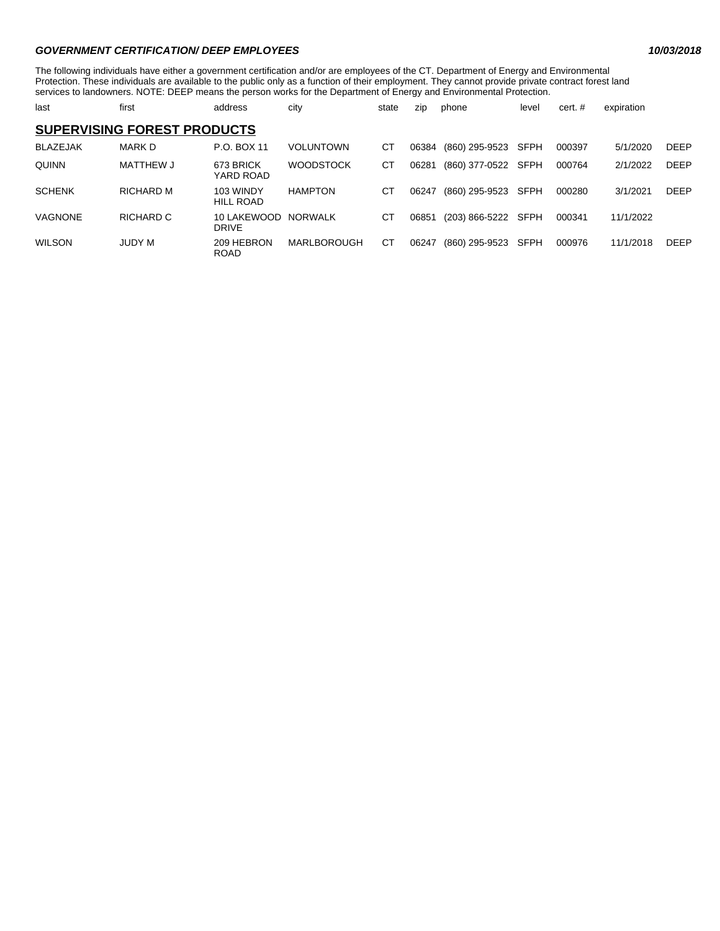#### **GOVERNMENT CERTIFICATION/ DEEP EMPLOYEES 10/03/2018**

The following individuals have either a government certification and/or are employees of the CT. Department of Energy and Environmental Protection. These individuals are available to the public only as a function of their employment. They cannot provide private contract forest land services to landowners. NOTE: DEEP means the person works for the Department of Energy and Environmental Protection.

| last                               | first         | address                       | city             | state | zip   | phone          | level       | $cert.$ # | expiration |             |  |  |  |
|------------------------------------|---------------|-------------------------------|------------------|-------|-------|----------------|-------------|-----------|------------|-------------|--|--|--|
| <b>SUPERVISING FOREST PRODUCTS</b> |               |                               |                  |       |       |                |             |           |            |             |  |  |  |
| <b>BLAZEJAK</b>                    | <b>MARK D</b> | P.O. BOX 11                   | <b>VOLUNTOWN</b> | СT    | 06384 | (860) 295-9523 | <b>SFPH</b> | 000397    | 5/1/2020   | <b>DEEP</b> |  |  |  |
| <b>QUINN</b>                       | MATTHEW J     | 673 BRICK<br>YARD ROAD        | <b>WOODSTOCK</b> | СT    | 06281 | (860) 377-0522 | <b>SFPH</b> | 000764    | 2/1/2022   | <b>DEEP</b> |  |  |  |
| <b>SCHENK</b>                      | RICHARD M     | 103 WINDY<br><b>HILL ROAD</b> | <b>HAMPTON</b>   | СT    | 06247 | (860) 295-9523 | <b>SFPH</b> | 000280    | 3/1/2021   | <b>DEEP</b> |  |  |  |
| <b>VAGNONE</b>                     | RICHARD C     | 10 LAKEWOOD<br><b>DRIVE</b>   | <b>NORWALK</b>   | СT    | 06851 | (203) 866-5222 | <b>SFPH</b> | 000341    | 11/1/2022  |             |  |  |  |
| <b>WILSON</b>                      | <b>JUDY M</b> | 209 HEBRON<br><b>ROAD</b>     | MARLBOROUGH      | СT    | 06247 | (860) 295-9523 | <b>SFPH</b> | 000976    | 11/1/2018  | <b>DEEP</b> |  |  |  |